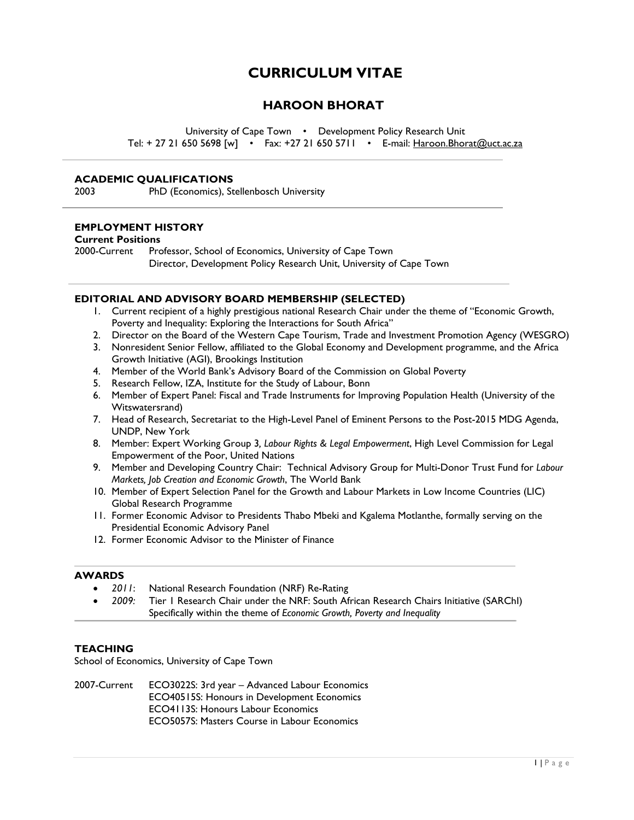# **CURRICULUM VITAE**

# **HAROON BHORAT**

University of Cape Town • Development Policy Research Unit Tel: + 27 21 650 5698 [w] • Fax: +27 21 650 5711 • E-mail: [Haroon.Bhorat@uct.ac.za](mailto:Haroon.Bhorat@uct.ac.za)

#### **ACADEMIC QUALIFICATIONS**

2003 PhD (Economics), Stellenbosch University

#### **EMPLOYMENT HISTORY**

#### **Current Positions**

2000-Current Professor, School of Economics, University of Cape Town Director, Development Policy Research Unit, University of Cape Town

#### **EDITORIAL AND ADVISORY BOARD MEMBERSHIP (SELECTED)**

- 1. Current recipient of a highly prestigious national Research Chair under the theme of "Economic Growth, Poverty and Inequality: Exploring the Interactions for South Africa"
- 2. Director on the Board of the Western Cape Tourism, Trade and Investment Promotion Agency (WESGRO)
- 3. Nonresident Senior Fellow, affiliated to the [Global Economy and Development](http://www.brookings.edu/about/programs/global) programme, and the [Africa](http://www.brookings.edu/about/projects/africa-growth)  [Growth Initiative](http://www.brookings.edu/about/projects/africa-growth) (AGI), Brookings Institution
- 4. Member of the World Bank's Advisory Board of the Commission on Global Poverty
- 5. Research Fellow, IZA, Institute for the Study of Labour, Bonn
- 6. Member of Expert Panel: Fiscal and Trade Instruments for Improving Population Health (University of the Witswatersrand)
- 7. Head of Research, Secretariat to the High-Level Panel of Eminent Persons to the Post-2015 MDG Agenda, UNDP, New York
- 8. Member: Expert Working Group 3*, Labour Rights & Legal Empowerment*, High Level Commission for Legal Empowerment of the Poor, United Nations
- 9. Member and Developing Country Chair: Technical Advisory Group for Multi-Donor Trust Fund for *Labour Markets, Job Creation and Economic Growth*, The World Bank
- 10. Member of Expert Selection Panel for the Growth and Labour Markets in Low Income Countries (LIC) Global Research Programme
- 11. Former Economic Advisor to Presidents Thabo Mbeki and Kgalema Motlanthe, formally serving on the Presidential Economic Advisory Panel
- 12. Former Economic Advisor to the Minister of Finance

#### **AWARDS**

- *2011*: National Research Foundation (NRF) Re-Rating
- *2009:* Tier 1 Research Chair under the NRF: South African Research Chairs Initiative (SARChI) Specifically within the theme of *Economic Growth, Poverty and Inequality*

#### **TEACHING**

School of Economics, University of Cape Town

2007-Current ECO3022S: 3rd year – Advanced Labour Economics ECO40515S: Honours in Development Economics ECO4113S: Honours Labour Economics ECO5057S: Masters Course in Labour Economics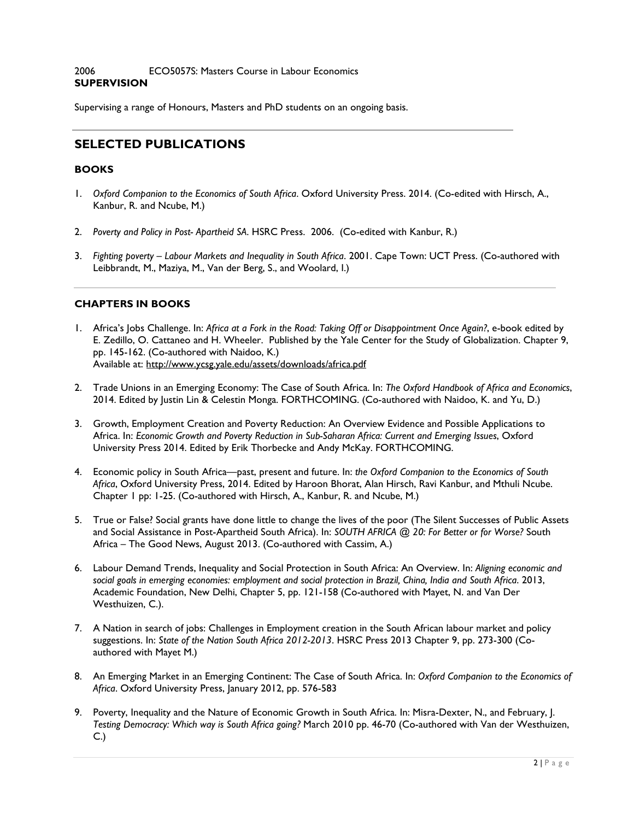#### 2006 ECO5057S: Masters Course in Labour Economics **SUPERVISION**

Supervising a range of Honours, Masters and PhD students on an ongoing basis.

# **SELECTED PUBLICATIONS**

#### **BOOKS**

- 1. *Oxford Companion to the Economics of South Africa*. Oxford University Press. 2014. (Co-edited with Hirsch, A., Kanbur, R. and Ncube, M.)
- 2. *Poverty and Policy in Post- Apartheid SA*. HSRC Press. 2006. (Co-edited with Kanbur, R.)
- 3. *Fighting poverty – Labour Markets and Inequality in South Africa*. 2001. Cape Town: UCT Press. (Co-authored with Leibbrandt, M., Maziya, M., Van der Berg, S., and Woolard, I.)

# **CHAPTERS IN BOOKS**

- 1. Africa's Jobs Challenge. In: *Africa at a Fork in the Road: Taking Off or Disappointment Once Again?*, e-book edited by E. Zedillo, O. Cattaneo and H. Wheeler. Published by the Yale Center for the Study of Globalization. Chapter 9, pp. 145-162. (Co-authored with Naidoo, K.) Available at:<http://www.ycsg.yale.edu/assets/downloads/africa.pdf>
- 2. Trade Unions in an Emerging Economy: The Case of South Africa. In: *The Oxford Handbook of Africa and Economics*, 2014. Edited by Justin Lin & Celestin Monga. FORTHCOMING. (Co-authored with Naidoo, K. and Yu, D.)
- 3. Growth, Employment Creation and Poverty Reduction: An Overview Evidence and Possible Applications to Africa. In: *Economic Growth and Poverty Reduction in Sub-Saharan Africa: Current and Emerging Issues*, Oxford University Press 2014. Edited by Erik Thorbecke and Andy McKay. FORTHCOMING.
- 4. Economic policy in South Africa—past, present and future. In: *the Oxford Companion to the Economics of South Africa*, Oxford University Press, 2014. Edited by Haroon Bhorat, Alan Hirsch, Ravi Kanbur, and Mthuli Ncube. Chapter 1 pp: 1-25. (Co-authored with Hirsch, A., Kanbur, R. and Ncube, M.)
- 5. True or False? Social grants have done little to change the lives of the poor (The Silent Successes of Public Assets and Social Assistance in Post-Apartheid South Africa). In: *SOUTH AFRICA @ 20: For Better or for Worse?* [South](http://www.sagoodnews.co.za/)  Africa – [The Good News,](http://www.sagoodnews.co.za/) August 2013. (Co-authored with Cassim, A.)
- 6. Labour Demand Trends, Inequality and Social Protection in South Africa: An Overview. In: *Aligning economic and social goals in emerging economies: employment and social protection in Brazil, China, India and South Africa*. 2013, Academic Foundation, New Delhi, Chapter 5, pp. 121-158 (Co-authored with Mayet, N. and Van Der Westhuizen, C.).
- 7. A Nation in search of jobs: Challenges in Employment creation in the South African labour market and policy suggestions. In: *State of the Nation South Africa 2012-2013*. HSRC Press 2013 Chapter 9, pp. 273-300 (Coauthored with Mayet M.)
- 8. An Emerging Market in an Emerging Continent: The Case of South Africa. In: *Oxford Companion to the Economics of Africa*. Oxford University Press, January 2012, pp. 576-583
- 9. Poverty, Inequality and the Nature of Economic Growth in South Africa. In: Misra-Dexter, N., and February, J. *Testing Democracy: Which way is South Africa going?* March 2010 pp. 46-70 (Co-authored with Van der Westhuizen, C.)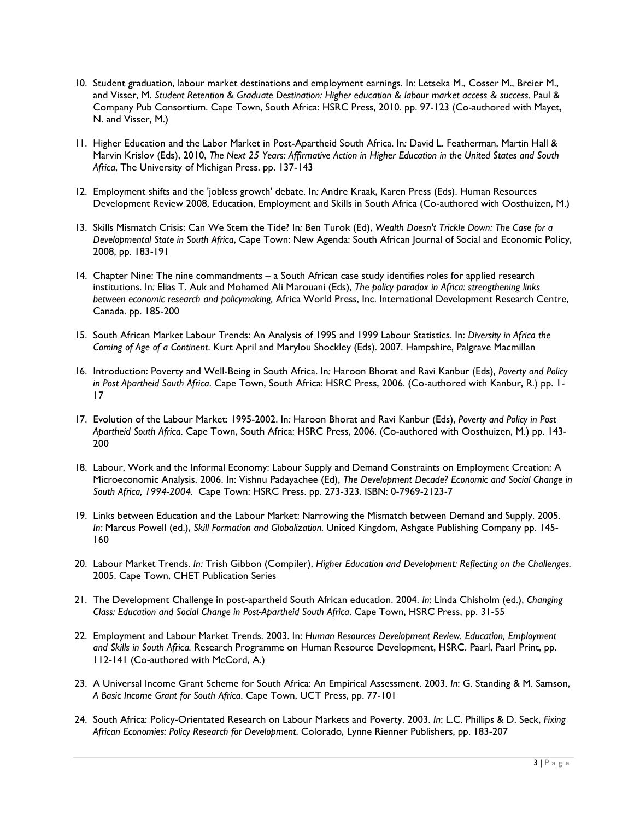- 10. Student graduation, labour market destinations and employment earnings. In*:* Letseka M., Cosser M., Breier M., and Visser, M. *Student Retention & Graduate Destination: Higher education & labour market access & success.* Paul & Company Pub Consortium. Cape Town, South Africa: HSRC Press, 2010. pp. 97-123 (Co-authored with Mayet, N. and Visser, M.)
- 11. Higher Education and the Labor Market in Post-Apartheid South Africa. In*:* David L. Featherman, Martin Hall & Marvin Krislov (Eds), 2010, *The Next 25 Years: Affirmative Action in Higher Education in the United States and South Africa*, The University of Michigan Press. pp. 137-143
- 12. Employment shifts and the 'jobless growth' debate. In*:* Andre Kraak, Karen Press (Eds). Human Resources Development Review 2008, Education, Employment and Skills in South Africa (Co-authored with Oosthuizen, M.)
- 13. Skills Mismatch Crisis: Can We Stem the Tide? In*:* Ben Turok (Ed), *Wealth Doesn't Trickle Down: The Case for a Developmental State in South Africa*, Cape Town: New Agenda: South African Journal of Social and Economic Policy, 2008, pp. 183-191
- 14. Chapter Nine: The nine commandments a South African case study identifies roles for applied research institutions. In*:* Elias T. Auk and Mohamed Ali Marouani (Eds), *The policy paradox in Africa: strengthening links between economic research and policymaking,* Africa World Press, Inc. International Development Research Centre, Canada. pp. 185-200
- 15. South African Market Labour Trends: An Analysis of 1995 and 1999 Labour Statistics. In: *Diversity in Africa the Coming of Age of a Continent*. Kurt April and Marylou Shockley (Eds). 2007. Hampshire, Palgrave Macmillan
- 16. Introduction: Poverty and Well-Being in South Africa. In*:* Haroon Bhorat and Ravi Kanbur (Eds), *Poverty and Policy in Post Apartheid South Africa*. Cape Town, South Africa: HSRC Press, 2006. (Co-authored with Kanbur, R.) pp. 1- 17
- 17. Evolution of the Labour Market: 1995-2002. In*:* Haroon Bhorat and Ravi Kanbur (Eds), *Poverty and Policy in Post Apartheid South Africa*. Cape Town, South Africa: HSRC Press, 2006. (Co-authored with Oosthuizen, M.) pp. 143- 200
- 18. Labour, Work and the Informal Economy: Labour Supply and Demand Constraints on Employment Creation: A Microeconomic Analysis. 2006. In: Vishnu Padayachee (Ed), *The Development Decade? Economic and Social Change in South Africa, 1994-2004.* Cape Town: HSRC Press. pp. 273-323. ISBN: 0-7969-2123-7
- 19. Links between Education and the Labour Market: Narrowing the Mismatch between Demand and Supply. 2005. *In:* Marcus Powell (ed.), *Skill Formation and Globalization.* United Kingdom, Ashgate Publishing Company pp. 145- 160
- 20. Labour Market Trends. *In:* Trish Gibbon (Compiler), *Higher Education and Development: Reflecting on the Challenges.*  2005. Cape Town, CHET Publication Series
- 21. The Development Challenge in post-apartheid South African education. 2004. *In*: Linda Chisholm (ed.), *Changing Class: Education and Social Change in Post-Apartheid South Africa*. Cape Town, HSRC Press, pp. 31-55
- 22. Employment and Labour Market Trends. 2003. In: *Human Resources Development Review. Education, Employment and Skills in South Africa.* Research Programme on Human Resource Development, HSRC. Paarl, Paarl Print, pp. 112-141 (Co-authored with McCord, A.)
- 23. A Universal Income Grant Scheme for South Africa: An Empirical Assessment. 2003. *In*: G. Standing & M. Samson, *A Basic Income Grant for South Africa*. Cape Town, UCT Press, pp. 77-101
- 24. South Africa: Policy-Orientated Research on Labour Markets and Poverty. 2003. *In*: L.C. Phillips & D. Seck, *Fixing African Economies: Policy Research for Development*. Colorado, Lynne Rienner Publishers, pp. 183-207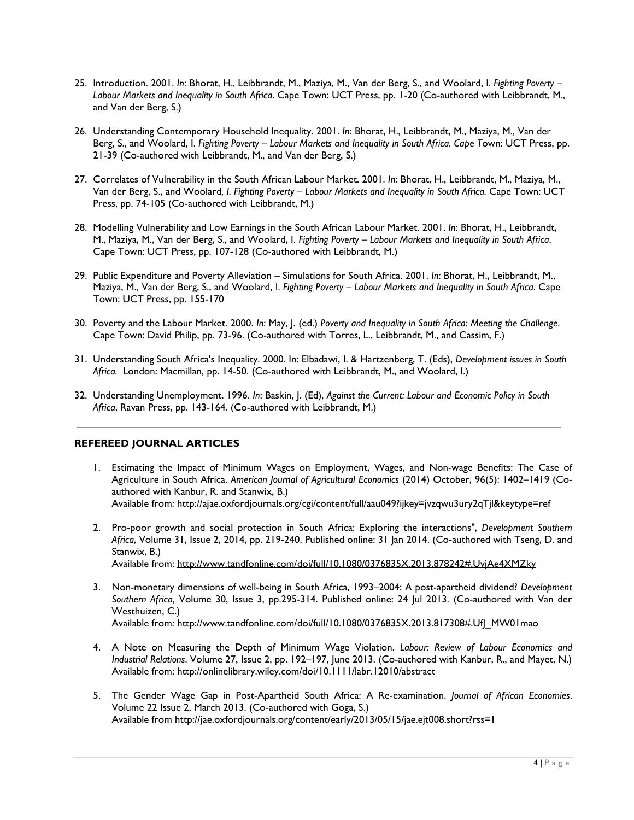- 25. Introduction. 2001. *In*: Bhorat, H., Leibbrandt, M., Maziya, M., Van der Berg, S., and Woolard, I. *Fighting Poverty – Labour Markets and Inequality in South Africa*. Cape Town: UCT Press, pp. 1-20 (Co-authored with Leibbrandt, M., and Van der Berg, S.)
- 26. Understanding Contemporary Household Inequality. 2001. *In*: Bhorat, H., Leibbrandt, M., Maziya, M., Van der Berg, S., and Woolard, I. *Fighting Poverty – Labour Markets and Inequality in South Africa. Cape T*own: UCT Press, pp. 21-39 (Co-authored with Leibbrandt, M., and Van der Berg, S.)
- 27. Correlates of Vulnerability in the South African Labour Market. 2001. *In*: Bhorat, H., Leibbrandt, M., Maziya, M., Van der Berg, S., and Woolard*, I. Fighting Poverty – Labour Markets and Inequality in South Africa.* Cape Town: UCT Press, pp. 74-105 (Co-authored with Leibbrandt, M.)
- 28. Modelling Vulnerability and Low Earnings in the South African Labour Market. 2001. *In*: Bhorat, H., Leibbrandt, M., Maziya, M., Van der Berg, S., and Woolard, I. *Fighting Poverty – Labour Markets and Inequality in South Africa*. Cape Town: UCT Press, pp. 107-128 (Co-authored with Leibbrandt, M.)
- 29. Public Expenditure and Poverty Alleviation Simulations for South Africa. 2001. *In*: Bhorat, H., Leibbrandt, M., Maziya, M., Van der Berg, S., and Woolard, I. *Fighting Poverty – Labour Markets and Inequality in South Africa*. Cape Town: UCT Press, pp. 155-170
- 30. Poverty and the Labour Market. 2000. *In*: May, J. (ed.) *Poverty and Inequality in South Africa: Meeting the Challenge*. Cape Town: David Philip, pp. 73-96. (Co-authored with Torres, L., Leibbrandt, M., and Cassim, F.)
- 31. Understanding South Africa's Inequality. 2000. In: Elbadawi, I. & Hartzenberg, T. (Eds), *Development issues in South Africa.* London: Macmillan, pp. 14-50. (Co-authored with Leibbrandt, M., and Woolard, I.)
- 32. Understanding Unemployment. 1996. *In*: Baskin, J. (Ed), *Against the Current: Labour and Economic Policy in South Africa*, Ravan Press, pp. 143-164. (Co-authored with Leibbrandt, M.)

#### **REFEREED JOURNAL ARTICLES**

- 1. Estimating the Impact of Minimum Wages on Employment, Wages, and Non-wage Benefits: The Case of Agriculture in South Africa. *American Journal of Agricultural Economics* (2014) October, 96(5): 1402–1419 (Coauthored with Kanbur, R. and Stanwix, B.) Available from:<http://ajae.oxfordjournals.org/cgi/content/full/aau049?ijkey=jvzqwu3ury2qTjl&keytype=ref>
- 2. Pro-poor growth and social protection in South Africa: Exploring the interactions", *Development Southern Africa*, Volume 31, Issue 2, 2014, pp. 219-240. Published online: 31 Jan 2014. (Co-authored with Tseng, D. and Stanwix, B.) Available from: [http://www.tandfonline.com/doi/full/10.1080/0376835X.2013.878242#.UvjAe4XMZky](http://www.tandfonline.com/doi/full/10.1080/0376835X.2013.878242%23.UvjAe4XMZky)
- 3. Non-monetary dimensions of well-being in South Africa, 1993–2004: A post-apartheid dividend? *Development Southern Africa*, [Volume 30,](http://www.tandfonline.com/loi/cdsa20?open=30%23vol_30) Issue 3, pp.295-314. Published online: 24 Jul 2013. (Co-authored with Van der Westhuizen, C.) Available from: [http://www.tandfonline.com/doi/full/10.1080/0376835X.2013.817308#.UfJ\\_MW01mao](http://www.tandfonline.com/doi/full/10.1080/0376835X.2013.817308%23.UfJ_MW01mao)
- 4. A Note on Measuring the Depth of Minimum Wage Violation. *Labour: Review of Labour Economics and Industrial Relations*. Volume 27, Issue 2, pp. 192–197, June 2013. (Co-authored with Kanbur, R., and Mayet, N.) Available from:<http://onlinelibrary.wiley.com/doi/10.1111/labr.12010/abstract>
- 5. The Gender Wage Gap in Post-Apartheid South Africa: A Re-examination. *Journal of African Economies*. Volume 22 Issue 2, March 2013. (Co-authored with Goga, S.) Available from<http://jae.oxfordjournals.org/content/early/2013/05/15/jae.ejt008.short?rss=1>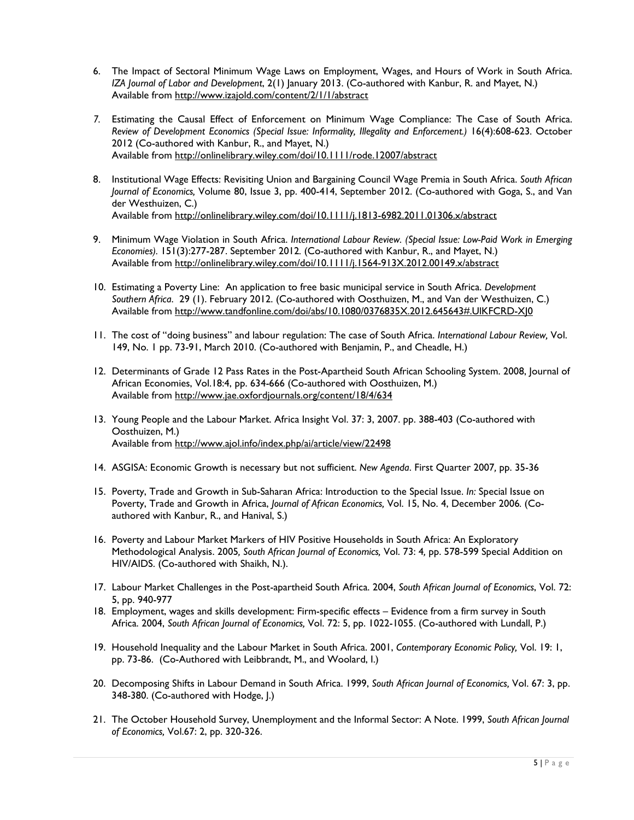- 6. The Impact of Sectoral Minimum Wage Laws on Employment, Wages, and Hours of Work in South Africa. *IZA Journal of Labor and Development*, 2(1) January 2013. (Co-authored with Kanbur, R. and Mayet, N.) Available from<http://www.izajold.com/content/2/1/1/abstract>
- *7.* Estimating the Causal Effect of Enforcement on Minimum Wage Compliance: The Case of South Africa. *Review of Development Economics (Special Issue: Informality, Illegality and Enforcement.)* 16(4):608-623*.* October 2012 (Co-authored with Kanbur, R., and Mayet, N.) Available from<http://onlinelibrary.wiley.com/doi/10.1111/rode.12007/abstract>
- 8. Institutional Wage Effects: Revisiting Union and Bargaining Council Wage Premia in South Africa. *South African Journal of Economics,* Volume 80, Issue 3, pp. 400-414, September 2012. (Co-authored with Goga, S., and Van der Westhuizen, C.) Available from<http://onlinelibrary.wiley.com/doi/10.1111/j.1813-6982.2011.01306.x/abstract>
- 9. Minimum Wage Violation in South Africa. *International Labour Review. (Special Issue: Low-Paid Work in Emerging Economies).* 151(3):277-287. September 2012*.* (Co-authored with Kanbur, R., and Mayet, N.) Available from<http://onlinelibrary.wiley.com/doi/10.1111/j.1564-913X.2012.00149.x/abstract>
- 10. Estimating a Poverty Line: An application to free basic municipal service in South Africa. *Development Southern Africa*. 29 (1). February 2012. (Co-authored with Oosthuizen, M., and Van der Westhuizen, C.) Available from [http://www.tandfonline.com/doi/abs/10.1080/0376835X.2012.645643#.UlKFCRD-XJ0](http://www.tandfonline.com/doi/abs/10.1080/0376835X.2012.645643%23.UlKFCRD-XJ0)
- 11. The cost of "doing business" and labour regulation: The case of South Africa. *International Labour Review,* Vol. 149, No. 1 pp. 73-91, March 2010. (Co-authored with Benjamin, P., and Cheadle, H.)
- 12. Determinants of Grade 12 Pass Rates in the Post-Apartheid South African Schooling System. 2008, Journal of African Economies, Vol.18:4, pp. 634-666 (Co-authored with Oosthuizen, M.) Available from<http://www.jae.oxfordjournals.org/content/18/4/634>
- 13. Young People and the Labour Market. Africa Insight Vol. 37: 3, 2007. pp. 388-403 (Co-authored with Oosthuizen, M.) Available from<http://www.ajol.info/index.php/ai/article/view/22498>
- 14. ASGISA: Economic Growth is necessary but not sufficient. *New Agenda*. First Quarter 2007*,* pp. 35-36
- 15. Poverty, Trade and Growth in Sub-Saharan Africa: Introduction to the Special Issue. *In:* Special Issue on Poverty, Trade and Growth in Africa, *Journal of African Economics,* Vol. 15, No. 4, December 2006*.* (Coauthored with Kanbur, R., and Hanival, S.)
- 16. Poverty and Labour Market Markers of HIV Positive Households in South Africa: An Exploratory Methodological Analysis. 2005*, South African Journal of Economics,* Vol. 73: 4*,* pp. 578-599 Special Addition on HIV/AIDS. (Co-authored with Shaikh, N.).
- 17. Labour Market Challenges in the Post-apartheid South Africa. 2004, *South African Journal of Economics*, Vol. 72: 5, pp. 940-977
- 18. Employment, wages and skills development: Firm-specific effects Evidence from a firm survey in South Africa. 2004, *South African Journal of Economics,* Vol. 72: 5, pp. 1022-1055. (Co-authored with Lundall, P.)
- 19. Household Inequality and the Labour Market in South Africa. 2001, *Contemporary Economic Policy,* Vol. 19: 1, pp. 73-86. (Co-Authored with Leibbrandt, M., and Woolard, I.)
- 20. Decomposing Shifts in Labour Demand in South Africa. 1999, *South African Journal of Economics,* Vol. 67: 3, pp. 348-380. (Co-authored with Hodge, J.)
- 21. The October Household Survey, Unemployment and the Informal Sector: A Note. 1999, *South African Journal of Economics,* Vol.67: 2, pp. 320-326.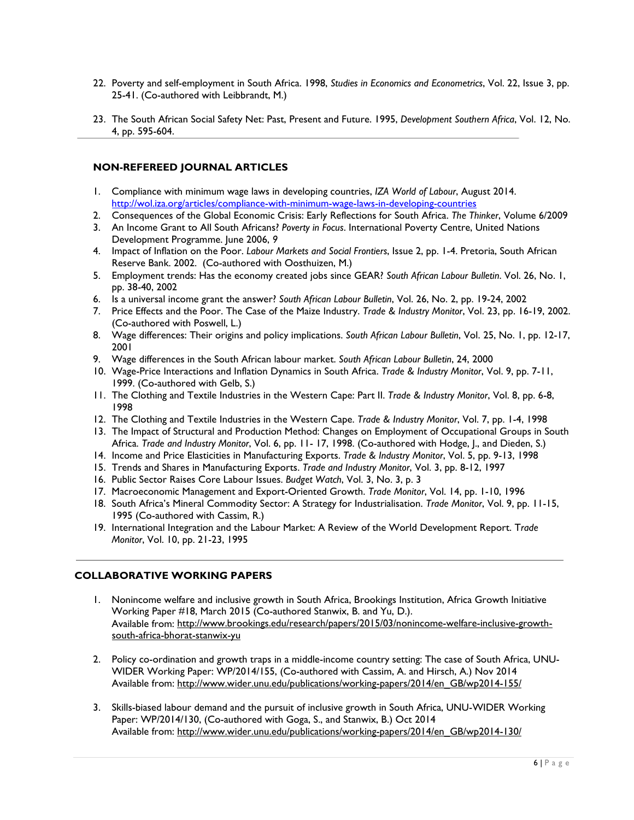- 22. Poverty and self-employment in South Africa. 1998, *Studies in Economics and Econometrics*, Vol. 22, Issue 3, pp. 25-41. (Co-authored with Leibbrandt, M.)
- 23. The South African Social Safety Net: Past, Present and Future. 1995, *Development Southern Africa*, Vol. 12, No. 4, pp. 595-604.

#### **NON-REFEREED JOURNAL ARTICLES**

- 1. Compliance with minimum wage laws in developing countries, *IZA World of Labour*, August 2014. <http://wol.iza.org/articles/compliance-with-minimum-wage-laws-in-developing-countries>
- 2. Consequences of the Global Economic Crisis: Early Reflections for South Africa. *The Thinker*, Volume 6/2009
- 3. An Income Grant to All South Africans? *Poverty in Focus*. International Poverty Centre, United Nations Development Programme. June 2006, *9*
- 4. Impact of Inflation on the Poor. *Labour Markets and Social Frontiers*, Issue 2, pp. 1-4. Pretoria, South African Reserve Bank. 2002.(Co-authored with Oosthuizen, M.)
- 5. Employment trends: Has the economy created jobs since GEAR? *South African Labour Bulletin*. Vol. 26, No. 1, pp. 38-40, 2002
- 6. Is a universal income grant the answer? *South African Labour Bulletin*, Vol. 26, No. 2, pp. 19-24, 2002
- 7. Price Effects and the Poor. The Case of the Maize Industry. *Trade & Industry Monitor*, Vol. 23, pp. 16-19, 2002. (Co-authored with Poswell, L.)
- 8. Wage differences: Their origins and policy implications. *South African Labour Bulletin*, Vol. 25, No. 1, pp. 12-17, 2001
- 9. Wage differences in the South African labour market. *South African Labour Bulletin*, 24, 2000
- 10. Wage-Price Interactions and Inflation Dynamics in South Africa. *Trade & Industry Monitor*, Vol. 9, pp. 7-11, 1999. (Co-authored with Gelb, S.)
- 11. The Clothing and Textile Industries in the Western Cape: Part II. *Trade & Industry Monitor*, Vol. 8, pp. 6-8, 1998
- 12. The Clothing and Textile Industries in the Western Cape. *Trade & Industry Monitor*, Vol. 7, pp. 1-4, 1998
- 13. The Impact of Structural and Production Method: Changes on Employment of Occupational Groups in South Africa. *Trade and Industry Monitor*, Vol. 6, pp. 11- 17, 1998. (Co-authored with Hodge, J., and Dieden, S.)
- 14. Income and Price Elasticities in Manufacturing Exports. *Trade & Industry Monitor*, Vol. 5, pp. 9-13, 1998
- 15. Trends and Shares in Manufacturing Exports. *Trade and Industry Monitor*, Vol. 3, pp. 8-12, 1997
- 16. Public Sector Raises Core Labour Issues. *Budget Watch*, Vol. 3, No. 3, p. 3
- 17. Macroeconomic Management and Export-Oriented Growth. *Trade Monitor*, Vol. 14, pp. 1-10, 1996
- 18. South Africa's Mineral Commodity Sector: A Strategy for Industrialisation. *Trade Monitor*, Vol. 9, pp. 11-15, 1995 (Co-authored with Cassim, R.)
- 19. International Integration and the Labour Market: A Review of the World Development Report. T*rade Monitor*, Vol. 10, pp. 21-23, 1995

#### **COLLABORATIVE WORKING PAPERS**

- 1. Nonincome welfare and inclusive growth in South Africa, Brookings Institution, Africa Growth Initiative Working Paper #18, March 2015 (Co-authored Stanwix, B. and Yu, D.). Available from: [http://www.brookings.edu/research/papers/2015/03/nonincome-welfare-inclusive-growth](http://www.brookings.edu/research/papers/2015/03/nonincome-welfare-inclusive-growth-south-africa-bhorat-stanwix-yu)[south-africa-bhorat-stanwix-yu](http://www.brookings.edu/research/papers/2015/03/nonincome-welfare-inclusive-growth-south-africa-bhorat-stanwix-yu)
- 2. Policy co-ordination and growth traps in a middle-income country setting: The case of South Africa, UNU-WIDER Working Paper: WP/2014/155, (Co-authored with Cassim, A. and Hirsch, A.) Nov 2014 Available from: [http://www.wider.unu.edu/publications/working-papers/2014/en\\_GB/wp2014-155/](http://www.wider.unu.edu/publications/working-papers/2014/en_GB/wp2014-155/)
- 3. Skills-biased labour demand and the pursuit of inclusive growth in South Africa, UNU-WIDER Working Paper: WP/2014/130, (Co-authored with Goga, S., and Stanwix, B.) Oct 2014 Available from: [http://www.wider.unu.edu/publications/working-papers/2014/en\\_GB/wp2014-130/](http://www.wider.unu.edu/publications/working-papers/2014/en_GB/wp2014-130/)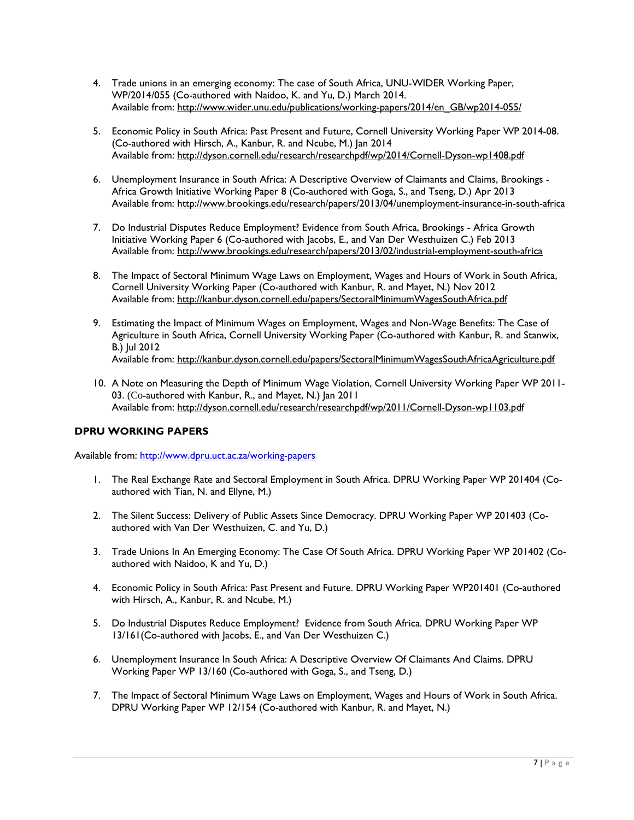- 4. Trade unions in an emerging economy: The case of South Africa, UNU-WIDER Working Paper, WP/2014/055 (Co-authored with Naidoo, K. and Yu, D.) March 2014. Available from: [http://www.wider.unu.edu/publications/working-papers/2014/en\\_GB/wp2014-055/](http://www.wider.unu.edu/publications/working-papers/2014/en_GB/wp2014-055/)
- 5. Economic Policy in South Africa: Past Present and Future, Cornell University Working Paper WP 2014-08. (Co-authored with Hirsch, A., Kanbur, R. and Ncube, M.) Jan 2014 Available from: http://dyson.cornell.edu/research/researchpdf/wp/2014/Cornell-Dyson-wp1408.pdf
- 6. Unemployment Insurance in South Africa: A Descriptive Overview of Claimants and Claims, Brookings Africa Growth Initiative Working Paper 8 (Co-authored with Goga, S., and Tseng, D.) Apr 2013 Available from:<http://www.brookings.edu/research/papers/2013/04/unemployment-insurance-in-south-africa>
- 7. Do Industrial Disputes Reduce Employment? Evidence from South Africa, Brookings Africa Growth Initiative Working Paper 6 (Co-authored with Jacobs, E., and Van Der Westhuizen C.) Feb 2013 Available from:<http://www.brookings.edu/research/papers/2013/02/industrial-employment-south-africa>
- 8. The Impact of Sectoral Minimum Wage Laws on Employment, Wages and Hours of Work in South Africa, Cornell University Working Paper (Co-authored with Kanbur, R. and Mayet, N.) Nov 2012 Available from:<http://kanbur.dyson.cornell.edu/papers/SectoralMinimumWagesSouthAfrica.pdf>
- 9. Estimating the Impact of Minimum Wages on Employment, Wages and Non-Wage Benefits: The Case of Agriculture in South Africa, Cornell University Working Paper (Co-authored with Kanbur, R. and Stanwix, B.) Jul 2012 Available from: http://kanbur.dyson.cornell.edu/papers/SectoralMinimumWagesSouthAfricaAgriculture.pdf
- 10. A Note on Measuring the Depth of Minimum Wage Violation, Cornell University Working Paper WP 2011- 03. (Co-authored with Kanbur, R., and Mayet, N.) Jan 2011 Available from:<http://dyson.cornell.edu/research/researchpdf/wp/2011/Cornell-Dyson-wp1103.pdf>

# **DPRU WORKING PAPERS**

Available from:<http://www.dpru.uct.ac.za/working-papers>

- 1. The Real Exchange Rate and Sectoral Employment in South Africa. DPRU Working Paper WP 201404 (Coauthored with Tian, N. and Ellyne, M.)
- 2. The Silent Success: Delivery of Public Assets Since Democracy. DPRU Working Paper WP 201403 (Coauthored with Van Der Westhuizen, C. and Yu, D.)
- 3. Trade Unions In An Emerging Economy: The Case Of South Africa. DPRU Working Paper WP 201402 (Coauthored with Naidoo, K and Yu, D.)
- 4. Economic Policy in South Africa: Past Present and Future. DPRU Working Paper WP201401 (Co-authored with Hirsch, A., Kanbur, R. and Ncube, M.)
- 5. Do Industrial Disputes Reduce Employment? Evidence from South Africa. DPRU Working Paper WP 13/161(Co-authored with Jacobs, E., and Van Der Westhuizen C.)
- 6. Unemployment Insurance In South Africa: A Descriptive Overview Of Claimants And Claims. DPRU Working Paper WP 13/160 (Co-authored with Goga, S., and Tseng, D.)
- 7. The Impact of Sectoral Minimum Wage Laws on Employment, Wages and Hours of Work in South Africa. DPRU Working Paper WP 12/154 (Co-authored with Kanbur, R. and Mayet, N.)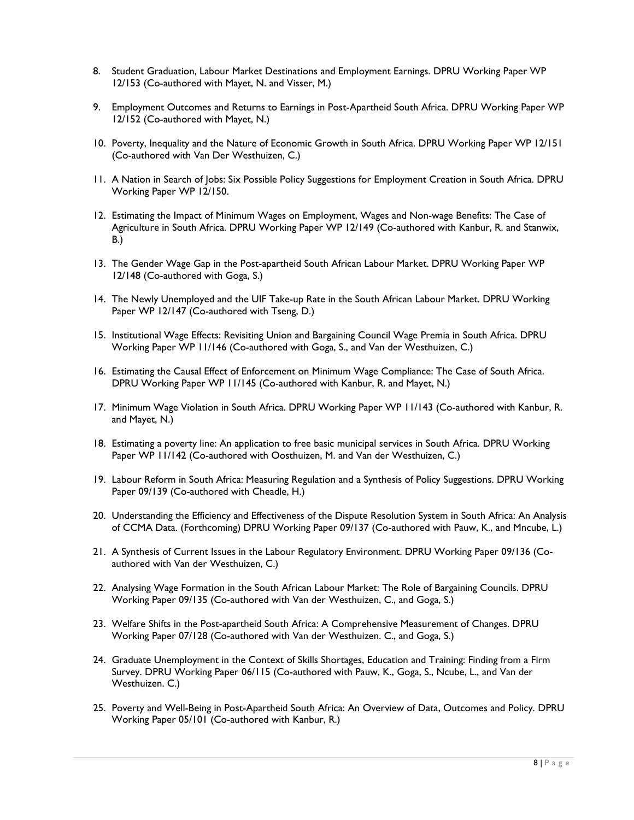- 8. Student Graduation, Labour Market Destinations and Employment Earnings. DPRU Working Paper WP 12/153 (Co-authored with Mayet, N. and Visser, M.)
- 9. Employment Outcomes and Returns to Earnings in Post-Apartheid South Africa. DPRU Working Paper WP 12/152 (Co-authored with Mayet, N.)
- 10. Poverty, Inequality and the Nature of Economic Growth in South Africa. DPRU Working Paper WP 12/151 (Co-authored with Van Der Westhuizen, C.)
- 11. A Nation in Search of Jobs: Six Possible Policy Suggestions for Employment Creation in South Africa. DPRU Working Paper WP 12/150.
- 12. Estimating the Impact of Minimum Wages on Employment, Wages and Non-wage Benefits: The Case of Agriculture in South Africa. DPRU Working Paper WP 12/149 (Co-authored with Kanbur, R. and Stanwix, B.)
- 13. The Gender Wage Gap in the Post-apartheid South African Labour Market. DPRU Working Paper WP 12/148 (Co-authored with Goga, S.)
- 14. The Newly Unemployed and the UIF Take-up Rate in the South African Labour Market. DPRU Working Paper WP 12/147 (Co-authored with Tseng, D.)
- 15. Institutional Wage Effects: Revisiting Union and Bargaining Council Wage Premia in South Africa. DPRU Working Paper WP 11/146 (Co-authored with Goga, S., and Van der Westhuizen, C.)
- 16. Estimating the Causal Effect of Enforcement on Minimum Wage Compliance: The Case of South Africa. DPRU Working Paper WP 11/145 (Co-authored with Kanbur, R. and Mayet, N.)
- 17. Minimum Wage Violation in South Africa. DPRU Working Paper WP 11/143 (Co-authored with Kanbur, R. and Mayet, N.)
- 18. Estimating a poverty line: An application to free basic municipal services in South Africa. DPRU Working Paper WP 11/142 (Co-authored with Oosthuizen, M. and Van der Westhuizen, C.)
- 19. Labour Reform in South Africa: Measuring Regulation and a Synthesis of Policy Suggestions. DPRU Working Paper 09/139 (Co-authored with Cheadle, H.)
- 20. Understanding the Efficiency and Effectiveness of the Dispute Resolution System in South Africa: An Analysis of CCMA Data. (Forthcoming) DPRU Working Paper 09/137 (Co-authored with Pauw, K., and Mncube, L.)
- 21. A Synthesis of Current Issues in the Labour Regulatory Environment. DPRU Working Paper 09/136 (Coauthored with Van der Westhuizen, C.)
- 22. Analysing Wage Formation in the South African Labour Market: The Role of Bargaining Councils. DPRU Working Paper 09/135 (Co-authored with Van der Westhuizen, C., and Goga, S.)
- 23. Welfare Shifts in the Post-apartheid South Africa: A Comprehensive Measurement of Changes. DPRU Working Paper 07/128 (Co-authored with Van der Westhuizen. C., and Goga, S.)
- 24. Graduate Unemployment in the Context of Skills Shortages, Education and Training: Finding from a Firm Survey. DPRU Working Paper 06/115 (Co-authored with Pauw, K., Goga, S., Ncube, L., and Van der Westhuizen. C.)
- 25. Poverty and Well-Being in Post-Apartheid South Africa: An Overview of Data, Outcomes and Policy. DPRU Working Paper 05/101 (Co-authored with Kanbur, R.)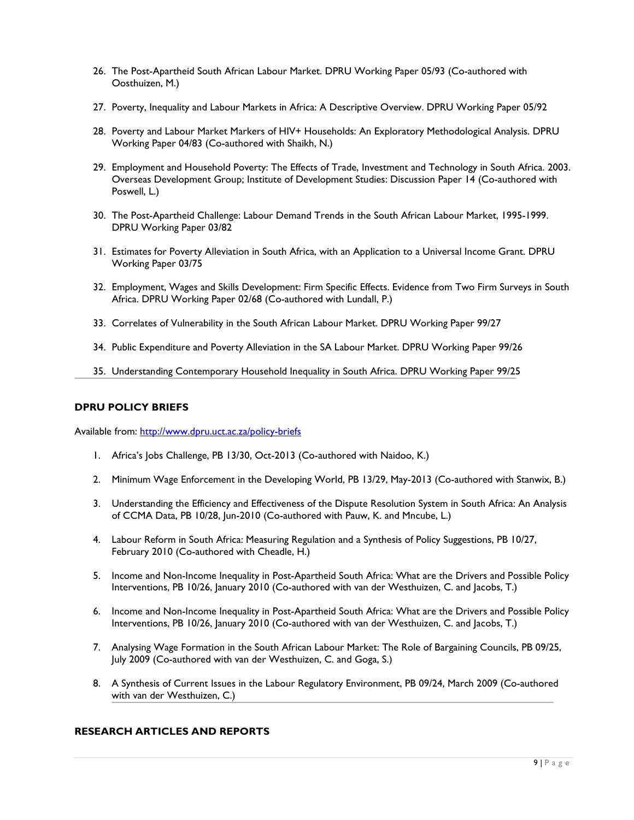- 26. The Post-Apartheid South African Labour Market. DPRU Working Paper 05/93 (Co-authored with Oosthuizen, M.)
- 27. Poverty, Inequality and Labour Markets in Africa: A Descriptive Overview. DPRU Working Paper 05/92
- 28. Poverty and Labour Market Markers of HIV+ Households: An Exploratory Methodological Analysis. DPRU Working Paper 04/83 (Co-authored with Shaikh, N.)
- 29. Employment and Household Poverty: The Effects of Trade, Investment and Technology in South Africa. 2003. Overseas Development Group; Institute of Development Studies: Discussion Paper 14 (Co-authored with Poswell, L.)
- 30. The Post-Apartheid Challenge: Labour Demand Trends in the South African Labour Market, 1995-1999. DPRU Working Paper 03/82
- 31. Estimates for Poverty Alleviation in South Africa, with an Application to a Universal Income Grant. DPRU Working Paper 03/75
- 32. Employment, Wages and Skills Development: Firm Specific Effects. Evidence from Two Firm Surveys in South Africa. DPRU Working Paper 02/68 (Co-authored with Lundall, P.)
- 33. Correlates of Vulnerability in the South African Labour Market. DPRU Working Paper 99/27
- 34. Public Expenditure and Poverty Alleviation in the SA Labour Market. DPRU Working Paper 99/26
- 35. Understanding Contemporary Household Inequality in South Africa. DPRU Working Paper 99/25

#### **DPRU POLICY BRIEFS**

Available from:<http://www.dpru.uct.ac.za/policy-briefs>

- 1. Africa's Jobs Challenge, PB 13/30, Oct-2013 (Co-authored with Naidoo, K.)
- 2. Minimum Wage Enforcement in the Developing World, PB 13/29, May-2013 (Co-authored with Stanwix, B.)
- 3. Understanding the Efficiency and Effectiveness of the Dispute Resolution System in South Africa: An Analysis of CCMA Data, PB 10/28, Jun-2010 (Co-authored with Pauw, K. and Mncube, L.)
- 4. Labour Reform in South Africa: Measuring Regulation and a Synthesis of Policy Suggestions, PB 10/27, February 2010 (Co-authored with Cheadle, H.)
- 5. Income and Non-Income Inequality in Post-Apartheid South Africa: What are the Drivers and Possible Policy Interventions, PB 10/26, January 2010 (Co-authored with van der Westhuizen, C. and Jacobs, T.)
- 6. Income and Non-Income Inequality in Post-Apartheid South Africa: What are the Drivers and Possible Policy Interventions, PB 10/26, January 2010 (Co-authored with van der Westhuizen, C. and Jacobs, T.)
- 7. Analysing Wage Formation in the South African Labour Market: The Role of Bargaining Councils, PB 09/25, July 2009 (Co-authored with van der Westhuizen, C. and Goga, S.)
- 8. A Synthesis of Current Issues in the Labour Regulatory Environment, PB 09/24, March 2009 (Co-authored with van der Westhuizen, C.)

#### **RESEARCH ARTICLES AND REPORTS**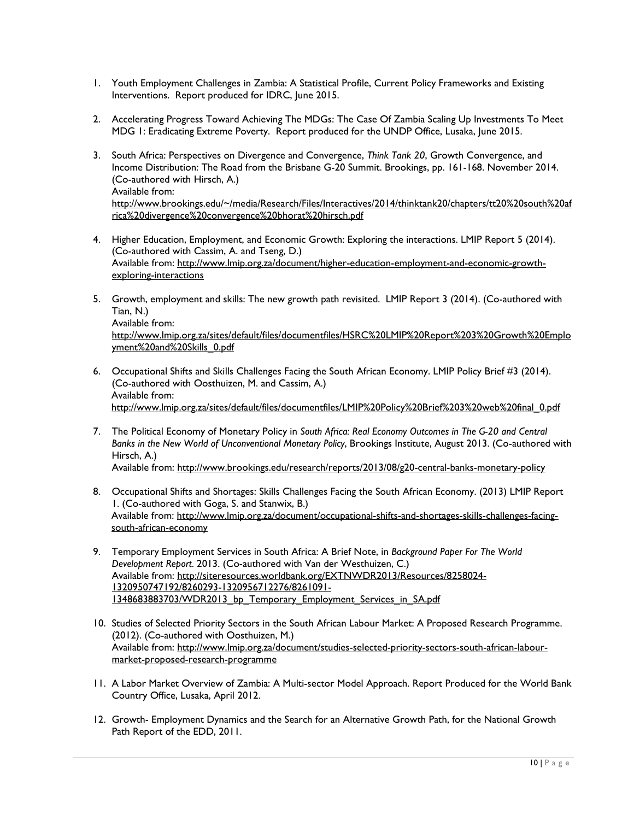- 1. Youth Employment Challenges in Zambia: A Statistical Profile, Current Policy Frameworks and Existing Interventions. Report produced for IDRC, June 2015.
- 2. Accelerating Progress Toward Achieving The MDGs: The Case Of Zambia Scaling Up Investments To Meet MDG 1: Eradicating Extreme Poverty. Report produced for the UNDP Office, Lusaka, June 2015.
- 3. South Africa: Perspectives on Divergence and Convergence, *Think Tank 20*, Growth Convergence, and Income Distribution: The Road from the Brisbane G-20 Summit. Brookings, pp. 161-168. November 2014. (Co-authored with Hirsch, A.) Available from: [http://www.brookings.edu/~/media/Research/Files/Interactives/2014/thinktank20/chapters/tt20%20south%20af](http://www.brookings.edu/%7E/media/Research/Files/Interactives/2014/thinktank20/chapters/tt20%20south%20africa%20divergence%20convergence%20bhorat%20hirsch.pdf) [rica%20divergence%20convergence%20bhorat%20hirsch.pdf](http://www.brookings.edu/%7E/media/Research/Files/Interactives/2014/thinktank20/chapters/tt20%20south%20africa%20divergence%20convergence%20bhorat%20hirsch.pdf)
- 4. Higher Education, Employment, and Economic Growth: Exploring the interactions. LMIP Report 5 (2014). (Co-authored with Cassim, A. and Tseng, D.) Available from: [http://www.lmip.org.za/document/higher-education-employment-and-economic-growth](http://www.lmip.org.za/document/higher-education-employment-and-economic-growth-exploring-interactions)[exploring-interactions](http://www.lmip.org.za/document/higher-education-employment-and-economic-growth-exploring-interactions)
- 5. Growth, employment and skills: The new growth path revisited. LMIP Report 3 (2014). (Co-authored with Tian, N.) Available from:

[http://www.lmip.org.za/sites/default/files/documentfiles/HSRC%20LMIP%20Report%203%20Growth%20Emplo](http://www.lmip.org.za/sites/default/files/documentfiles/HSRC%20LMIP%20Report%203%20Growth%20Employment%20and%20Skills_0.pdf) [yment%20and%20Skills\\_0.pdf](http://www.lmip.org.za/sites/default/files/documentfiles/HSRC%20LMIP%20Report%203%20Growth%20Employment%20and%20Skills_0.pdf)

- 6. Occupational Shifts and Skills Challenges Facing the South African Economy. LMIP Policy Brief #3 (2014). (Co-authored with Oosthuizen, M. and Cassim, A.) Available from: [http://www.lmip.org.za/sites/default/files/documentfiles/LMIP%20Policy%20Brief%203%20web%20final\\_0.pdf](http://www.lmip.org.za/sites/default/files/documentfiles/LMIP%20Policy%20Brief%203%20web%20final_0.pdf)
- 7. The Political Economy of Monetary Policy in *South Africa: Real Economy Outcomes in The G-20 and Central Banks in the New World of Unconventional Monetary Policy*, Brookings Institute, August 2013. (Co-authored with Hirsch, A.) Available from: <http://www.brookings.edu/research/reports/2013/08/g20-central-banks-monetary-policy>
- 8. Occupational Shifts and Shortages: Skills Challenges Facing the South African Economy. (2013) LMIP Report 1. (Co-authored with Goga, S. and Stanwix, B.) Available from: [http://www.lmip.org.za/document/occupational-shifts-and-shortages-skills-challenges-facing](http://www.lmip.org.za/document/occupational-shifts-and-shortages-skills-challenges-facing-south-african-economy)[south-african-economy](http://www.lmip.org.za/document/occupational-shifts-and-shortages-skills-challenges-facing-south-african-economy)
- 9. Temporary Employment Services in South Africa: A Brief Note, in *Background Paper For The World Development Report*. 2013. (Co-authored with Van der Westhuizen, C.) Available from: [http://siteresources.worldbank.org/EXTNWDR2013/Resources/8258024-](http://siteresources.worldbank.org/EXTNWDR2013/Resources/8258024-1320950747192/8260293-1320956712276/8261091-1348683883703/WDR2013_bp_Temporary_Employment_Services_in_SA.pdf) [1320950747192/8260293-1320956712276/8261091-](http://siteresources.worldbank.org/EXTNWDR2013/Resources/8258024-1320950747192/8260293-1320956712276/8261091-1348683883703/WDR2013_bp_Temporary_Employment_Services_in_SA.pdf) [1348683883703/WDR2013\\_bp\\_Temporary\\_Employment\\_Services\\_in\\_SA.pdf](http://siteresources.worldbank.org/EXTNWDR2013/Resources/8258024-1320950747192/8260293-1320956712276/8261091-1348683883703/WDR2013_bp_Temporary_Employment_Services_in_SA.pdf)
- 10. Studies of Selected Priority Sectors in the South African Labour Market: A Proposed Research Programme. (2012). (Co-authored with Oosthuizen, M.) Available from: [http://www.lmip.org.za/document/studies-selected-priority-sectors-south-african-labour](http://www.lmip.org.za/document/studies-selected-priority-sectors-south-african-labour-market-proposed-research-programme)[market-proposed-research-programme](http://www.lmip.org.za/document/studies-selected-priority-sectors-south-african-labour-market-proposed-research-programme)
- 11. A Labor Market Overview of Zambia: A Multi-sector Model Approach. Report Produced for the World Bank Country Office, Lusaka, April 2012.
- 12. Growth- Employment Dynamics and the Search for an Alternative Growth Path, for the National Growth Path Report of the EDD, 2011.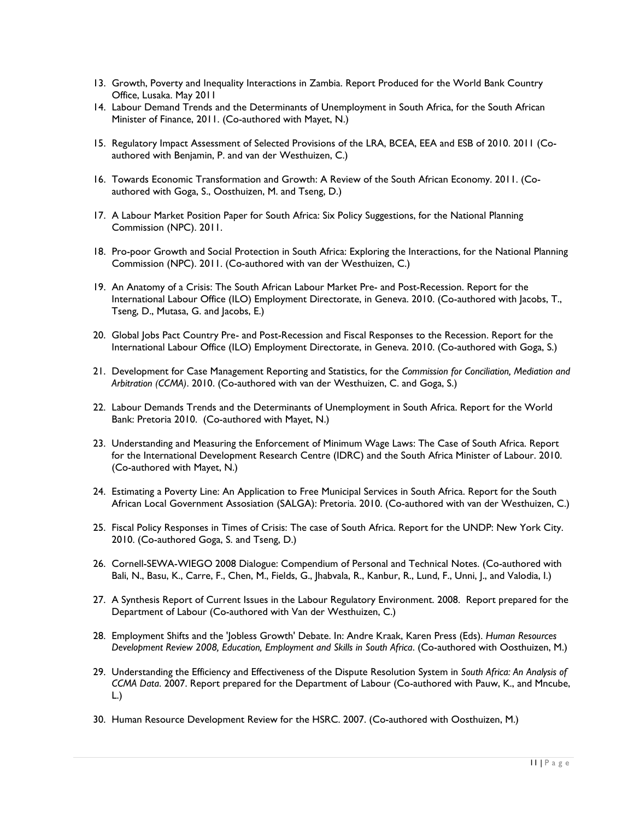- 13. Growth, Poverty and Inequality Interactions in Zambia. Report Produced for the World Bank Country Office, Lusaka. May 2011
- 14. Labour Demand Trends and the Determinants of Unemployment in South Africa, for the South African Minister of Finance, 2011. (Co-authored with Mayet, N.)
- 15. Regulatory Impact Assessment of Selected Provisions of the LRA, BCEA, EEA and ESB of 2010. 2011 (Coauthored with Benjamin, P. and van der Westhuizen, C.)
- 16. Towards Economic Transformation and Growth: A Review of the South African Economy. 2011. (Coauthored with Goga, S., Oosthuizen, M. and Tseng, D.)
- 17. A Labour Market Position Paper for South Africa: Six Policy Suggestions, for the National Planning Commission (NPC). 2011.
- 18. Pro-poor Growth and Social Protection in South Africa: Exploring the Interactions, for the National Planning Commission (NPC). 2011. (Co-authored with van der Westhuizen, C.)
- 19. An Anatomy of a Crisis: The South African Labour Market Pre- and Post-Recession. Report for the International Labour Office (ILO) Employment Directorate, in Geneva. 2010. (Co-authored with Jacobs, T., Tseng, D., Mutasa, G. and Jacobs, E.)
- 20. Global Jobs Pact Country Pre- and Post-Recession and Fiscal Responses to the Recession. Report for the International Labour Office (ILO) Employment Directorate, in Geneva. 2010. (Co-authored with Goga, S.)
- 21. Development for Case Management Reporting and Statistics, for the *Commission for Conciliation, Mediation and Arbitration (CCMA)*. 2010. (Co-authored with van der Westhuizen, C. and Goga, S.)
- 22. Labour Demands Trends and the Determinants of Unemployment in South Africa. Report for the World Bank: Pretoria 2010. (Co-authored with Mayet, N.)
- 23. Understanding and Measuring the Enforcement of Minimum Wage Laws: The Case of South Africa. Report for the International Development Research Centre (IDRC) and the South Africa Minister of Labour. 2010. (Co-authored with Mayet, N.)
- 24. Estimating a Poverty Line: An Application to Free Municipal Services in South Africa. Report for the South African Local Government Assosiation (SALGA): Pretoria. 2010. (Co-authored with van der Westhuizen, C.)
- 25. Fiscal Policy Responses in Times of Crisis: The case of South Africa. Report for the UNDP: New York City. 2010. (Co-authored Goga, S. and Tseng, D.)
- 26. Cornell-SEWA-WIEGO 2008 Dialogue: Compendium of Personal and Technical Notes. (Co-authored with Bali, N., Basu, K., Carre, F., Chen, M., Fields, G., Jhabvala, R., Kanbur, R., Lund, F., Unni, J., and Valodia, I.)
- 27. A Synthesis Report of Current Issues in the Labour Regulatory Environment. 2008. Report prepared for the Department of Labour (Co-authored with Van der Westhuizen, C.)
- 28. Employment Shifts and the 'Jobless Growth' Debate. In: Andre Kraak, Karen Press (Eds). *Human Resources Development Review 2008, Education, Employment and Skills in South Africa*. (Co-authored with Oosthuizen, M.)
- 29. Understanding the Efficiency and Effectiveness of the Dispute Resolution System in *South Africa: An Analysis of CCMA Data*. 2007. Report prepared for the Department of Labour (Co-authored with Pauw, K., and Mncube, L.)
- 30. Human Resource Development Review for the HSRC. 2007. (Co-authored with Oosthuizen, M.)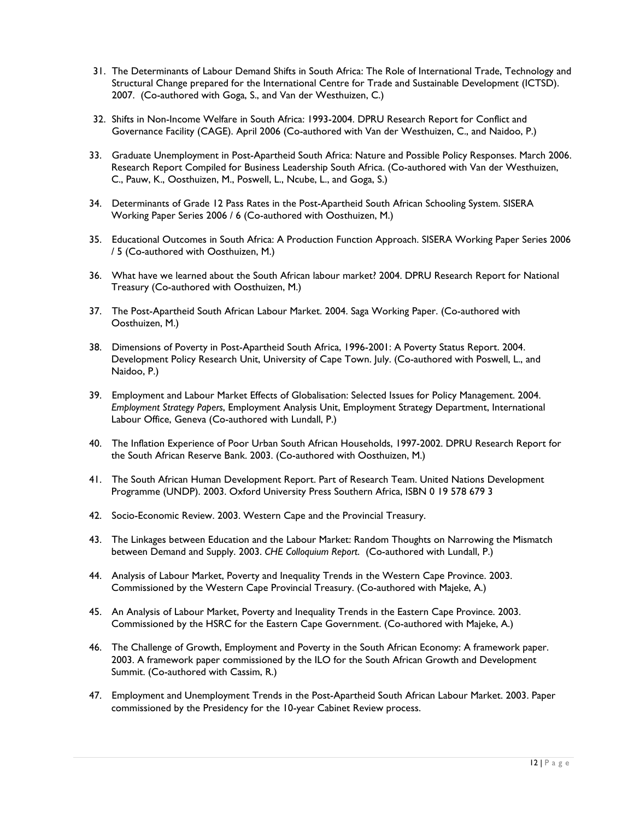- 31. The Determinants of Labour Demand Shifts in South Africa: The Role of International Trade, Technology and Structural Change prepared for the International Centre for Trade and Sustainable Development (ICTSD). 2007. (Co-authored with Goga, S., and Van der Westhuizen, C.)
- 32. Shifts in Non-Income Welfare in South Africa: 1993-2004. DPRU Research Report for Conflict and Governance Facility (CAGE). April 2006 (Co-authored with Van der Westhuizen, C., and Naidoo, P.)
- 33. Graduate Unemployment in Post-Apartheid South Africa: Nature and Possible Policy Responses. March 2006. Research Report Compiled for Business Leadership South Africa. (Co-authored with Van der Westhuizen, C., Pauw, K., Oosthuizen, M., Poswell, L., Ncube, L., and Goga, S.)
- 34. Determinants of Grade 12 Pass Rates in the Post-Apartheid South African Schooling System. SISERA Working Paper Series 2006 / 6 (Co-authored with Oosthuizen, M.)
- 35. Educational Outcomes in South Africa: A Production Function Approach. SISERA Working Paper Series 2006 / 5 (Co-authored with Oosthuizen, M.)
- 36. What have we learned about the South African labour market? 2004. DPRU Research Report for National Treasury (Co-authored with Oosthuizen, M.)
- 37. The Post-Apartheid South African Labour Market. 2004. Saga Working Paper. (Co-authored with Oosthuizen, M.)
- 38. Dimensions of Poverty in Post-Apartheid South Africa, 1996-2001: A Poverty Status Report. 2004. Development Policy Research Unit, University of Cape Town. July. (Co-authored with Poswell, L., and Naidoo, P.)
- 39. Employment and Labour Market Effects of Globalisation: Selected Issues for Policy Management. 2004. *Employment Strategy Papers*, Employment Analysis Unit, Employment Strategy Department, International Labour Office, Geneva (Co-authored with Lundall, P.)
- 40. The Inflation Experience of Poor Urban South African Households, 1997-2002. DPRU Research Report for the South African Reserve Bank. 2003. (Co-authored with Oosthuizen, M.)
- 41. The South African Human Development Report. Part of Research Team. United Nations Development Programme (UNDP). 2003. Oxford University Press Southern Africa, ISBN 0 19 578 679 3
- 42. Socio-Economic Review. 2003. Western Cape and the Provincial Treasury.
- 43. The Linkages between Education and the Labour Market: Random Thoughts on Narrowing the Mismatch between Demand and Supply. 2003. *CHE Colloquium Report*. (Co-authored with Lundall, P.)
- 44. Analysis of Labour Market, Poverty and Inequality Trends in the Western Cape Province. 2003. Commissioned by the Western Cape Provincial Treasury. (Co-authored with Majeke, A.)
- 45. An Analysis of Labour Market, Poverty and Inequality Trends in the Eastern Cape Province. 2003. Commissioned by the HSRC for the Eastern Cape Government. (Co-authored with Majeke, A.)
- 46. The Challenge of Growth, Employment and Poverty in the South African Economy: A framework paper. 2003. A framework paper commissioned by the ILO for the South African Growth and Development Summit. (Co-authored with Cassim, R.)
- 47. Employment and Unemployment Trends in the Post-Apartheid South African Labour Market. 2003. Paper commissioned by the Presidency for the 10-year Cabinet Review process.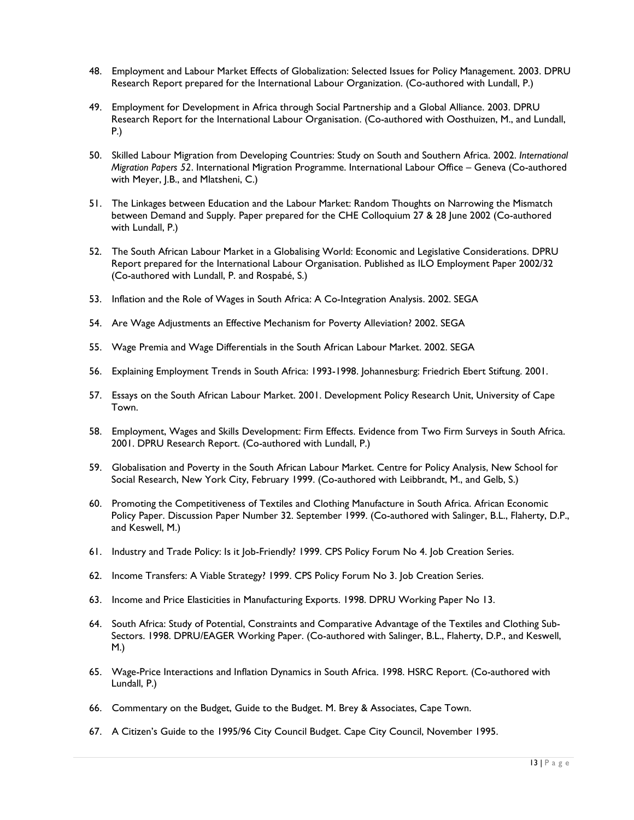- 48. Employment and Labour Market Effects of Globalization: Selected Issues for Policy Management. 2003. DPRU Research Report prepared for the International Labour Organization. (Co-authored with Lundall, P.)
- 49. Employment for Development in Africa through Social Partnership and a Global Alliance. 2003. DPRU Research Report for the International Labour Organisation. (Co-authored with Oosthuizen, M., and Lundall, P.)
- 50. Skilled Labour Migration from Developing Countries: Study on South and Southern Africa. 2002. *International Migration Papers 52*. International Migration Programme. International Labour Office – Geneva (Co-authored with Meyer, J.B., and Mlatsheni, C.)
- 51. The Linkages between Education and the Labour Market: Random Thoughts on Narrowing the Mismatch between Demand and Supply. Paper prepared for the CHE Colloquium 27 & 28 June 2002 (Co-authored with Lundall, P.)
- 52. The South African Labour Market in a Globalising World: Economic and Legislative Considerations. DPRU Report prepared for the International Labour Organisation. Published as ILO Employment Paper 2002/32 (Co-authored with Lundall, P. and Rospabé, S.)
- 53. Inflation and the Role of Wages in South Africa: A Co-Integration Analysis. 2002. SEGA
- 54. Are Wage Adjustments an Effective Mechanism for Poverty Alleviation? 2002. SEGA
- 55. Wage Premia and Wage Differentials in the South African Labour Market. 2002. SEGA
- 56. Explaining Employment Trends in South Africa: 1993-1998. Johannesburg: Friedrich Ebert Stiftung. 2001.
- 57. Essays on the South African Labour Market. 2001. Development Policy Research Unit, University of Cape Town.
- 58. Employment, Wages and Skills Development: Firm Effects. Evidence from Two Firm Surveys in South Africa. 2001. DPRU Research Report. (Co-authored with Lundall, P.)
- 59. Globalisation and Poverty in the South African Labour Market. Centre for Policy Analysis, New School for Social Research, New York City, February 1999. (Co-authored with Leibbrandt, M., and Gelb, S.)
- 60. Promoting the Competitiveness of Textiles and Clothing Manufacture in South Africa. African Economic Policy Paper. Discussion Paper Number 32. September 1999. (Co-authored with Salinger, B.L., Flaherty, D.P., and Keswell, M.)
- 61. Industry and Trade Policy: Is it Job-Friendly? 1999. CPS Policy Forum No 4. Job Creation Series.
- 62. Income Transfers: A Viable Strategy? 1999. CPS Policy Forum No 3. Job Creation Series.
- 63. Income and Price Elasticities in Manufacturing Exports. 1998. DPRU Working Paper No 13.
- 64. South Africa: Study of Potential, Constraints and Comparative Advantage of the Textiles and Clothing Sub-Sectors. 1998. DPRU/EAGER Working Paper. (Co-authored with Salinger, B.L., Flaherty, D.P., and Keswell, M.)
- 65. Wage-Price Interactions and Inflation Dynamics in South Africa. 1998. HSRC Report. (Co-authored with Lundall, P.)
- 66. Commentary on the Budget, Guide to the Budget. M. Brey & Associates, Cape Town.
- 67. A Citizen's Guide to the 1995/96 City Council Budget. Cape City Council, November 1995.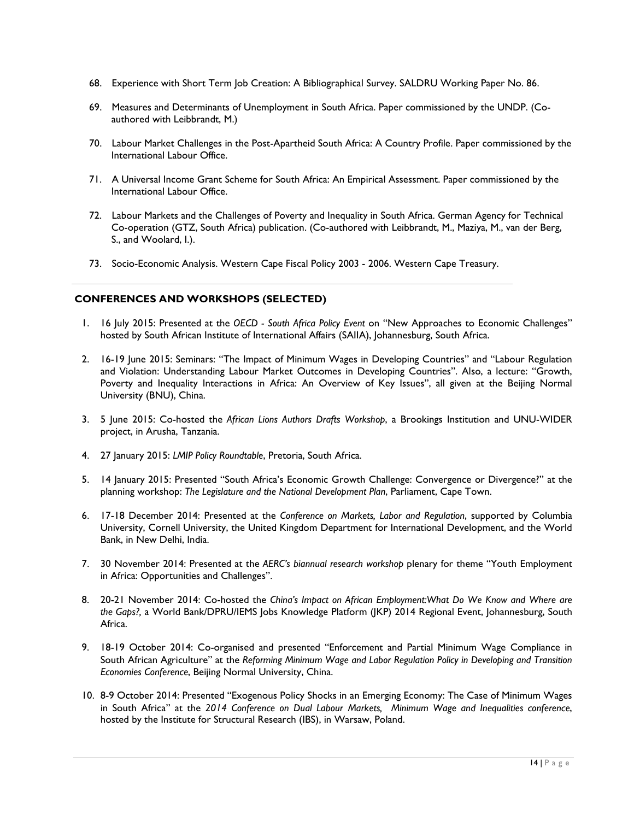- 68. Experience with Short Term Job Creation: A Bibliographical Survey. SALDRU Working Paper No. 86.
- 69. Measures and Determinants of Unemployment in South Africa. Paper commissioned by the UNDP. (Coauthored with Leibbrandt, M.)
- 70. Labour Market Challenges in the Post-Apartheid South Africa: A Country Profile. Paper commissioned by the International Labour Office.
- 71. A Universal Income Grant Scheme for South Africa: An Empirical Assessment. Paper commissioned by the International Labour Office.
- 72. Labour Markets and the Challenges of Poverty and Inequality in South Africa. German Agency for Technical Co-operation (GTZ, South Africa) publication. (Co-authored with Leibbrandt, M., Maziya, M., van der Berg, S., and Woolard, I.).
- 73. Socio-Economic Analysis. Western Cape Fiscal Policy 2003 2006. Western Cape Treasury.

#### **CONFERENCES AND WORKSHOPS (SELECTED)**

- 1. 16 July 2015: Presented at the *OECD - South Africa Policy Event* on "New Approaches to Economic Challenges" hosted by South African Institute of International Affairs (SAIIA), Johannesburg, South Africa.
- 2. 16-19 June 2015: Seminars: "The Impact of Minimum Wages in Developing Countries" and "Labour Regulation and Violation: Understanding Labour Market Outcomes in Developing Countries". Also, a lecture: "Growth, Poverty and Inequality Interactions in Africa: An Overview of Key Issues", all given at the Beijing Normal University (BNU), China.
- 3. 5 June 2015: Co-hosted the *African Lions Authors Drafts Workshop*, a Brookings Institution and UNU-WIDER project, in Arusha, Tanzania.
- 4. 27 January 2015: *LMIP Policy Roundtable*, Pretoria, South Africa.
- 5. 14 January 2015: Presented "South Africa's Economic Growth Challenge: Convergence or Divergence?" at the planning workshop: *The Legislature and the National Development Plan*, Parliament, Cape Town.
- 6. 17-18 December 2014: Presented at the *Conference on Markets, Labor and Regulation*, supported by Columbia University, Cornell University, the United Kingdom Department for International Development, and the World Bank, in New Delhi, India.
- 7. 30 November 2014: Presented at the *AERC's biannual research workshop* plenary for theme "Youth Employment in Africa: Opportunities and Challenges".
- 8. 20-21 November 2014: Co-hosted the *China's Impact on African Employment:What Do We Know and Where are the Gaps?,* a World Bank/DPRU/IEMS Jobs Knowledge Platform (JKP) 2014 Regional Event, Johannesburg, South Africa.
- 9. 18-19 October 2014: Co-organised and presented "Enforcement and Partial Minimum Wage Compliance in South African Agriculture" at the *Reforming Minimum Wage and Labor Regulation Policy in Developing and Transition Economies Conference*, Beijing Normal University, China.
- 10. 8-9 October 2014: Presented "Exogenous Policy Shocks in an Emerging Economy: The Case of Minimum Wages in South Africa" at the *2014 Conference on Dual Labour Markets, Minimum Wage and Inequalities conference*, hosted by the Institute for Structural Research (IBS), in Warsaw, Poland.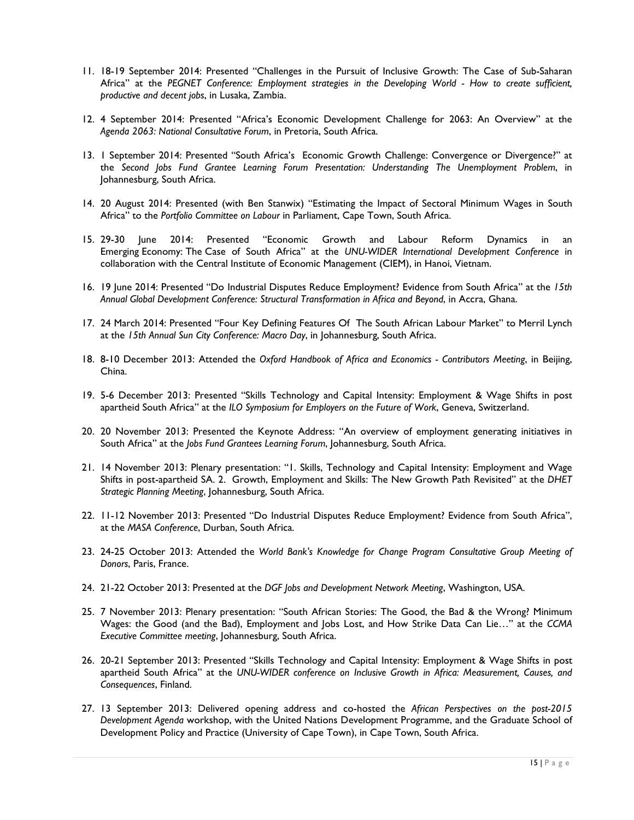- 11. 18-19 September 2014: Presented "Challenges in the Pursuit of Inclusive Growth: The Case of Sub-Saharan Africa" at the *PEGNET Conference: Employment strategies in the Developing World - How to create sufficient, productive and decent jobs*, in Lusaka, Zambia.
- 12. 4 September 2014: Presented "Africa's Economic Development Challenge for 2063: An Overview" at the *Agenda 2063: National Consultative Forum*, in Pretoria, South Africa.
- 13. 1 September 2014: Presented "South Africa's Economic Growth Challenge: Convergence or Divergence?" at the *Second Jobs Fund Grantee Learning Forum Presentation: Understanding The Unemployment Problem*, in Johannesburg, South Africa.
- 14. 20 August 2014: Presented (with Ben Stanwix) "Estimating the Impact of Sectoral Minimum Wages in South Africa" to the *Portfolio Committee on Labour* in Parliament, Cape Town, South Africa.
- 15. 29-30 June 2014: Presented "Economic Growth and Labour Reform Dynamics in an Emerging Economy: The Case of South Africa" at the *UNU-WIDER International Development Conference* in collaboration with the Central Institute of Economic Management (CIEM), in Hanoi, Vietnam.
- 16. 19 June 2014: Presented "Do Industrial Disputes Reduce Employment? Evidence from South Africa" at the *15th Annual Global Development Conference: Structural Transformation in Africa and Beyond*, in Accra, Ghana.
- 17. 24 March 2014: Presented "Four Key Defining Features Of The South African Labour Market" to Merril Lynch at the *15th Annual Sun City Conference: Macro Day*, in Johannesburg, South Africa.
- 18. 8-10 December 2013: Attended the *Oxford Handbook of Africa and Economics - Contributors Meeting*, in Beijing, China.
- 19. 5-6 December 2013: Presented "Skills Technology and Capital Intensity: Employment & Wage Shifts in post apartheid South Africa" at the *ILO Symposium for Employers on the Future of Work*, Geneva, Switzerland.
- 20. 20 November 2013: Presented the Keynote Address: "An overview of employment generating initiatives in South Africa" at the *Jobs Fund Grantees Learning Forum*, Johannesburg, South Africa.
- 21. 14 November 2013: Plenary presentation: "1. Skills, Technology and Capital Intensity: Employment and Wage Shifts in post-apartheid SA. 2. Growth, Employment and Skills: The New Growth Path Revisited" at the *DHET Strategic Planning Meeting*, Johannesburg, South Africa.
- 22. 11-12 November 2013: Presented "Do Industrial Disputes Reduce Employment? Evidence from South Africa", at the *MASA Conference*, Durban, South Africa.
- 23. 24-25 October 2013: Attended the *World Bank's Knowledge for Change Program Consultative Group Meeting of Donors*, Paris, France.
- 24. 21-22 October 2013: Presented at the *DGF Jobs and Development Network Meeting*, Washington, USA.
- 25. 7 November 2013: Plenary presentation: "South African Stories: The Good, the Bad & the Wrong? Minimum Wages: the Good (and the Bad), Employment and Jobs Lost, and How Strike Data Can Lie…" at the *CCMA Executive Committee meeting*, Johannesburg, South Africa.
- 26. 20-21 September 2013: Presented "Skills Technology and Capital Intensity: Employment & Wage Shifts in post apartheid South Africa" at the *UNU-WIDER conference on Inclusive Growth in Africa: Measurement, Causes, and Consequences*, Finland.
- 27. 13 September 2013: Delivered opening address and co-hosted the *African Perspectives on the post-2015 Development Agenda* workshop, with the United Nations Development Programme, and the Graduate School of Development Policy and Practice (University of Cape Town), in Cape Town, South Africa.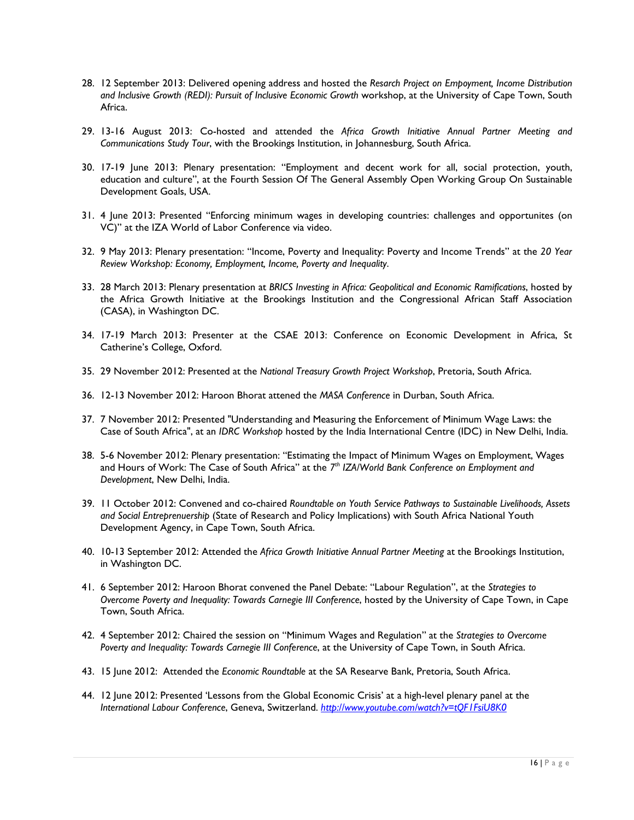- 28. 12 September 2013: Delivered opening address and hosted the *Resarch Project on Empoyment, Income Distribution and Inclusive Growth (REDI): Pursuit of Inclusive Economic Growth* workshop, at the University of Cape Town, South Africa.
- 29. 13-16 August 2013: Co-hosted and attended the *Africa Growth Initiative Annual Partner Meeting and Communications Study Tour*, with the Brookings Institution, in Johannesburg, South Africa.
- 30. 17-19 June 2013: Plenary presentation: "Employment and decent work for all, social protection, youth, education and culture", at the Fourth Session Of The General Assembly Open Working Group On Sustainable Development Goals, USA.
- 31. 4 June 2013: Presented "Enforcing minimum wages in developing countries: challenges and opportunites (on VC)" at the IZA World of Labor Conference via video.
- 32. 9 May 2013: Plenary presentation: "Income, Poverty and Inequality: Poverty and Income Trends" at the *20 Year Review Workshop: Economy, Employment, Income, Poverty and Inequality*.
- 33. 28 March 2013: Plenary presentation at *BRICS Investing in Africa: Geopolitical and Economic Ramifications*, hosted by the Africa Growth Initiative at the Brookings Institution and the Congressional African Staff Association (CASA), in Washington DC.
- 34. 17-19 March 2013: Presenter at the CSAE 2013: Conference on Economic Development in Africa, St Catherine's College, Oxford.
- 35. 29 November 2012: Presented at the *National Treasury Growth Project Workshop*, Pretoria, South Africa.
- 36. 12-13 November 2012: Haroon Bhorat attened the *MASA Conference* in Durban, South Africa.
- 37. 7 November 2012: Presented "Understanding and Measuring the Enforcement of Minimum Wage Laws: the Case of South Africa", at an *IDRC Workshop* hosted by the India International Centre (IDC) in New Delhi, India.
- 38. 5-6 November 2012: Plenary presentation: "Estimating the Impact of Minimum Wages on Employment, Wages and Hours of Work: The Case of South Africa" at the *7th IZA/World Bank Conference on Employment and Development*, New Delhi, India.
- 39. 11 October 2012: Convened and co-chaired *Roundtable on Youth Service Pathways to Sustainable Livelihoods, Assets and Social Entreprenuership* (State of Research and Policy Implications) with South Africa National Youth Development Agency, in Cape Town, South Africa.
- 40. 10-13 September 2012: Attended the *Africa Growth Initiative Annual Partner Meeting* at the Brookings Institution, in Washington DC.
- 41. 6 September 2012: Haroon Bhorat convened the Panel Debate: "Labour Regulation", at the *Strategies to Overcome Poverty and Inequality: Towards Carnegie III Conference*, hosted by the University of Cape Town, in Cape Town, South Africa.
- 42. 4 September 2012: Chaired the session on "Minimum Wages and Regulation" at the *Strategies to Overcome Poverty and Inequality: Towards Carnegie III Conference*, at the University of Cape Town, in South Africa.
- 43. 15 June 2012: Attended the *Economic Roundtable* at the SA Researve Bank, Pretoria, South Africa.
- 44. 12 June 2012: Presented 'Lessons from the Global Economic Crisis' at a high-level plenary panel at the *International Labour Conference*, Geneva, Switzerland. *<http://www.youtube.com/watch?v=tQF1FsiU8K0>*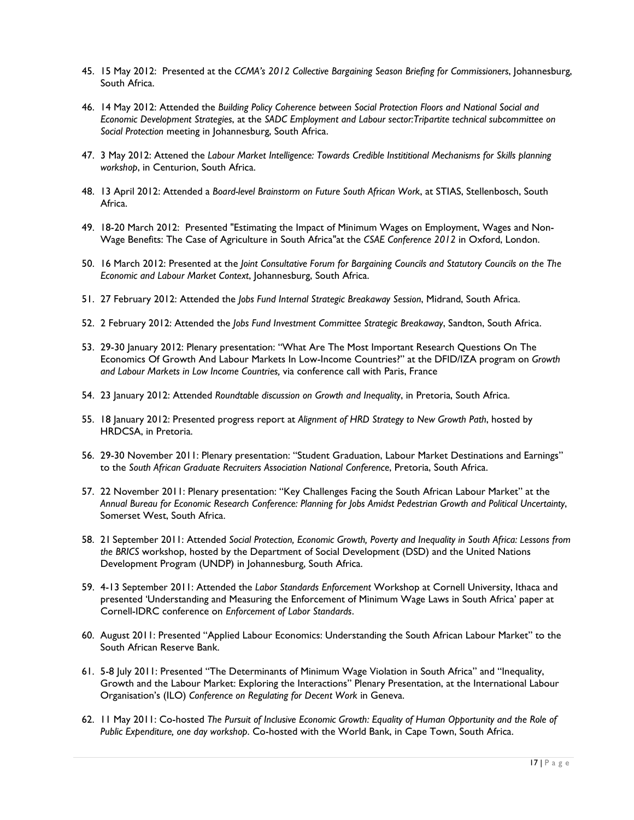- 45. 15 May 2012: Presented at the *CCMA's 2012 Collective Bargaining Season Briefing for Commissioners*, Johannesburg, South Africa.
- 46. 14 May 2012: Attended the *Building Policy Coherence between Social Protection Floors and National Social and Economic Development Strategies*, at the *SADC Employment and Labour sector:Tripartite technical subcommittee on Social Protection* meeting in Johannesburg, South Africa.
- 47. 3 May 2012: Attened the *Labour Market Intelligence: Towards Credible Instititional Mechanisms for Skills planning workshop*, in Centurion, South Africa.
- 48. 13 April 2012: Attended a *Board-level Brainstorm on Future South African Work*, at STIAS, Stellenbosch, South Africa.
- 49. 18-20 March 2012: Presented "Estimating the Impact of Minimum Wages on Employment, Wages and Non-Wage Benefits: The Case of Agriculture in South Africa"at the *CSAE Conference 2012* in Oxford, London.
- 50. 16 March 2012: Presented at the *Joint Consultative Forum for Bargaining Councils and Statutory Councils on the The Economic and Labour Market Context*, Johannesburg, South Africa.
- 51. 27 February 2012: Attended the *Jobs Fund Internal Strategic Breakaway Session*, Midrand, South Africa.
- 52. 2 February 2012: Attended the *Jobs Fund Investment Committee Strategic Breakaway*, Sandton, South Africa.
- 53. 29-30 January 2012: Plenary presentation: "What Are The Most Important Research Questions On The Economics Of Growth And Labour Markets In Low-Income Countries?" at the DFID/IZA program on *Growth and Labour Markets in Low Income Countries,* via conference call with Paris, France
- 54. 23 January 2012: Attended *Roundtable discussion on Growth and Inequality*, in Pretoria, South Africa.
- 55. 18 January 2012: Presented progress report at *Alignment of HRD Strategy to New Growth Path*, hosted by HRDCSA, in Pretoria.
- 56. 29-30 November 2011: Plenary presentation: "Student Graduation, Labour Market Destinations and Earnings" to the *South African Graduate Recruiters Association National Conference*, Pretoria, South Africa.
- 57. 22 November 2011: Plenary presentation: "Key Challenges Facing the South African Labour Market" at the *Annual Bureau for Economic Research Conference: Planning for Jobs Amidst Pedestrian Growth and Political Uncertainty*, Somerset West, South Africa.
- 58. 21 September 2011: Attended *Social Protection, Economic Growth, Poverty and Inequality in South Africa: Lessons from the BRICS* workshop, hosted by the Department of Social Development (DSD) and the United Nations Development Program (UNDP) in Johannesburg, South Africa.
- 59. 4-13 September 2011: Attended the *Labor Standards Enforcement* Workshop at Cornell University, Ithaca and presented 'Understanding and Measuring the Enforcement of Minimum Wage Laws in South Africa' paper at Cornell-IDRC conference on *Enforcement of Labor Standards*.
- 60. August 2011: Presented "Applied Labour Economics: Understanding the South African Labour Market" to the South African Reserve Bank.
- 61. 5-8 July 2011: Presented "The Determinants of Minimum Wage Violation in South Africa" and "Inequality, Growth and the Labour Market: Exploring the Interactions" Plenary Presentation, at the International Labour Organisation's (ILO) *Conference on Regulating for Decent Work* in Geneva.
- 62. 11 May 2011: Co-hosted *The Pursuit of Inclusive Economic Growth: Equality of Human Opportunity and the Role of Public Expenditure, one day workshop*. Co-hosted with the World Bank, in Cape Town, South Africa.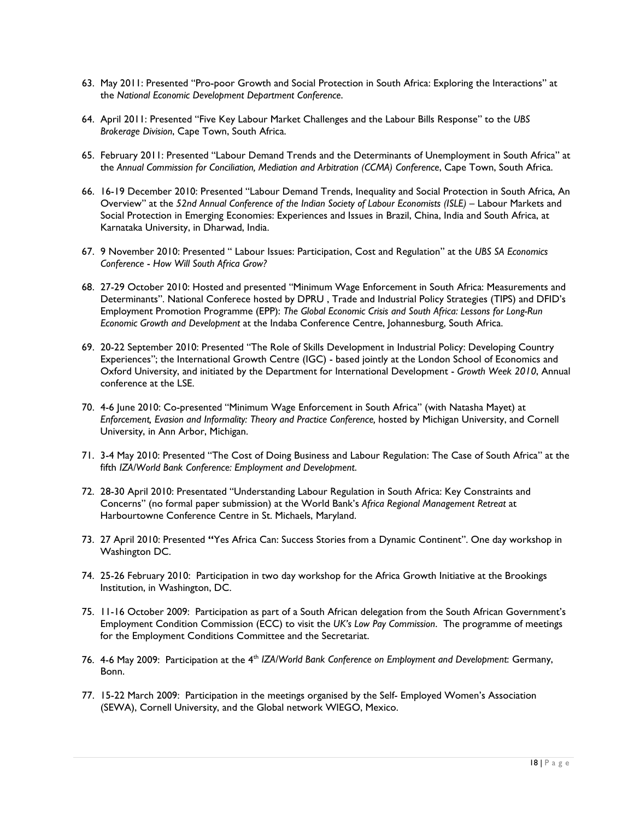- 63. May 2011: Presented "Pro-poor Growth and Social Protection in South Africa: Exploring the Interactions" at the *National Economic Development Department Conference*.
- 64. April 2011: Presented "Five Key Labour Market Challenges and the Labour Bills Response" to the *UBS Brokerage Division*, Cape Town, South Africa.
- 65. February 2011: Presented "Labour Demand Trends and the Determinants of Unemployment in South Africa" at the *Annual Commission for Conciliation, Mediation and Arbitration (CCMA) Conference*, Cape Town, South Africa.
- 66. 16-19 December 2010: Presented "Labour Demand Trends, Inequality and Social Protection in South Africa, An Overview" at the *52nd Annual Conference of the Indian Society of Labour Economists (ISLE)* – Labour Markets and Social Protection in Emerging Economies: Experiences and Issues in Brazil, China, India and South Africa, at Karnataka University, in Dharwad, India.
- 67. 9 November 2010: Presented " Labour Issues: Participation, Cost and Regulation" at the *UBS SA Economics Conference* - *How Will South Africa Grow?*
- 68. 27-29 October 2010: Hosted and presented "Minimum Wage Enforcement in South Africa: Measurements and Determinants". National Conferece hosted by DPRU , Trade and Industrial Policy Strategies (TIPS) and DFID's Employment Promotion Programme (EPP): *The Global Economic Crisis and South Africa: Lessons for Long-Run Economic Growth and Development* at the Indaba Conference Centre, Johannesburg, South Africa.
- 69. 20-22 September 2010: Presented "The Role of Skills Development in Industrial Policy: Developing Country Experiences"; the International Growth Centre (IGC) - based jointly at the London School of Economics and Oxford University, and initiated by the Department for International Development - *Growth Week 2010*, Annual conference at the LSE.
- 70. 4-6 June 2010: Co-presented "Minimum Wage Enforcement in South Africa" (with Natasha Mayet) at *Enforcement, Evasion and Informality: Theory and Practice Conference,* hosted by Michigan University, and Cornell University, in Ann Arbor, Michigan.
- 71. 3-4 May 2010: Presented "The Cost of Doing Business and Labour Regulation: The Case of South Africa" at the fifth *IZA/World Bank Conference: Employment and Development*.
- 72. 28-30 April 2010: Presentated "Understanding Labour Regulation in South Africa: Key Constraints and Concerns" (no formal paper submission) at the World Bank's *Africa Regional Management Retreat* at Harbourtowne Conference Centre in St. Michaels, Maryland.
- 73. 27 April 2010: Presented **"**Yes Africa Can: Success Stories from a Dynamic Continent". One day workshop in Washington DC.
- 74. 25-26 February 2010: Participation in two day workshop for the Africa Growth Initiative at the Brookings Institution, in Washington, DC.
- 75. 11-16 October 2009: Participation as part of a South African delegation from the South African Government's Employment Condition Commission (ECC) to visit the *UK's Low Pay Commission*. The programme of meetings for the Employment Conditions Committee and the Secretariat.
- 76. 4-6 May 2009: Participation at the 4th *IZA/World Bank Conference on Employment and Development*: Germany, Bonn.
- 77. 15-22 March 2009: Participation in the meetings organised by the Self- Employed Women's Association (SEWA), Cornell University, and the Global network WIEGO, Mexico.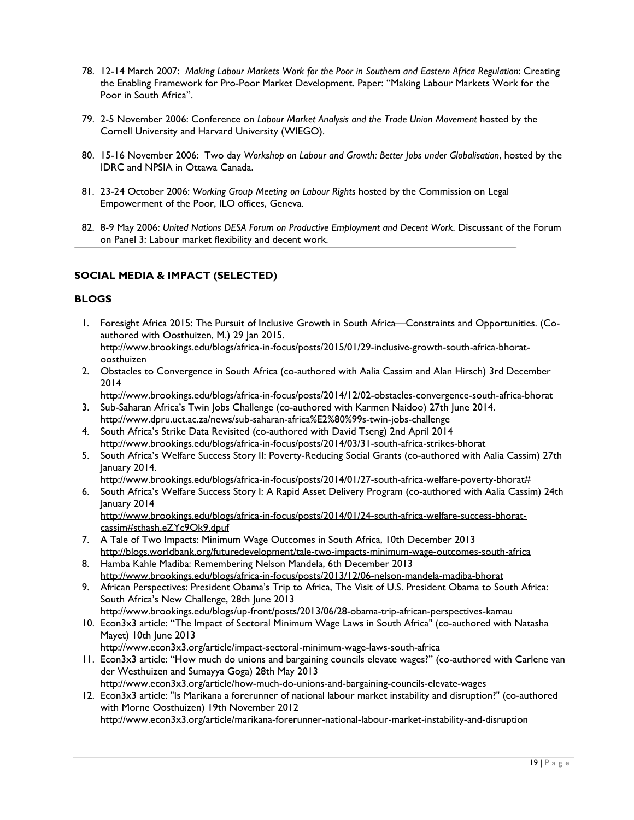- 78. 12-14 March 2007: *Making Labour Markets Work for the Poor in Southern and Eastern Africa Regulation*: Creating the Enabling Framework for Pro-Poor Market Development. Paper: "Making Labour Markets Work for the Poor in South Africa".
- 79. 2-5 November 2006: Conference on *Labour Market Analysis and the Trade Union Movement* hosted by the Cornell University and Harvard University (WIEGO).
- 80. 15-16 November 2006: Two day *Workshop on Labour and Growth: Better Jobs under Globalisation*, hosted by the IDRC and NPSIA in Ottawa Canada.
- 81. 23-24 October 2006: *Working Group Meeting on Labour Rights* hosted by the Commission on Legal Empowerment of the Poor, ILO offices, Geneva.
- 82. 8-9 May 2006: *United Nations DESA Forum on Productive Employment and Decent Work*. Discussant of the Forum on Panel 3: Labour market flexibility and decent work.

# **SOCIAL MEDIA & IMPACT (SELECTED)**

#### **BLOGS**

- 1. Foresight Africa 2015: The Pursuit of Inclusive Growth in South Africa—Constraints and Opportunities. (Coauthored with Oosthuizen, M.) 29 Jan 2015. [http://www.brookings.edu/blogs/africa-in-focus/posts/2015/01/29-inclusive-growth-south-africa-bhorat](http://www.brookings.edu/blogs/africa-in-focus/posts/2015/01/29-inclusive-growth-south-africa-bhorat-oosthuizen)[oosthuizen](http://www.brookings.edu/blogs/africa-in-focus/posts/2015/01/29-inclusive-growth-south-africa-bhorat-oosthuizen)
- 2. Obstacles to Convergence in South Africa (co-authored with Aalia Cassim and Alan Hirsch) 3rd December 2014

http://www.brookings.edu/blogs/africa-in-focus/posts/2014/12/02-obstacles-convergence-south-africa-bhorat 3. Sub-Saharan Africa's Twin Jobs Challenge (co-authored with Karmen Naidoo) 27th June 2014.

- <http://www.dpru.uct.ac.za/news/sub-saharan-africa%E2%80%99s-twin-jobs-challenge> 4. South Africa's Strike Data Revisited (co-authored with David Tseng) 2nd April 2014
- <http://www.brookings.edu/blogs/africa-in-focus/posts/2014/03/31-south-africa-strikes-bhorat>
- 5. South Africa's Welfare Success Story II: Poverty-Reducing Social Grants (co-authored with Aalia Cassim) 27th January 2014.
- http://www.brookings.edu/blogs/africa-in-focus/posts/2014/01/27-south-africa-welfare-poverty-bhorat# 6. South Africa's Welfare Success Story I: A Rapid Asset Delivery Program (co-authored with Aalia Cassim) 24th January 2014 [http://www.brookings.edu/blogs/africa-in-focus/posts/2014/01/24-south-africa-welfare-success-bhorat](http://www.brookings.edu/blogs/africa-in-focus/posts/2014/01/24-south-africa-welfare-success-bhorat-cassim%23sthash.eZYc9Qk9.dpuf)[cassim#sthash.eZYc9Qk9.dpuf](http://www.brookings.edu/blogs/africa-in-focus/posts/2014/01/24-south-africa-welfare-success-bhorat-cassim%23sthash.eZYc9Qk9.dpuf)
- 7. A Tale of Two Impacts: Minimum Wage Outcomes in South Africa, 10th December 2013 <http://blogs.worldbank.org/futuredevelopment/tale-two-impacts-minimum-wage-outcomes-south-africa>
- 8. Hamba Kahle Madiba: Remembering Nelson Mandela, 6th December 2013 http://www.brookings.edu/blogs/africa-in-focus/posts/2013/12/06-nelson-mandela-madiba-bhorat
- 9. African Perspectives: President Obama's Trip to Africa, The Visit of U.S. President Obama to South Africa: South Africa's New Challenge, 28th June 2013 <http://www.brookings.edu/blogs/up-front/posts/2013/06/28-obama-trip-african-perspectives-kamau>
- 10. Econ3x3 article: "The Impact of Sectoral Minimum Wage Laws in South Africa" (co-authored with Natasha Mayet) 10th June 2013

<http://www.econ3x3.org/article/impact-sectoral-minimum-wage-laws-south-africa>

- 11. Econ3x3 article: "How much do unions and bargaining councils elevate wages?" (co-authored with Carlene van der Westhuizen and Sumayya Goga) 28th May 2013
- <http://www.econ3x3.org/article/how-much-do-unions-and-bargaining-councils-elevate-wages> 12. Econ3x3 article: "Is Marikana a forerunner of national labour market instability and disruption?" (co-authored with Morne Oosthuizen) 19th November 2012 <http://www.econ3x3.org/article/marikana-forerunner-national-labour-market-instability-and-disruption>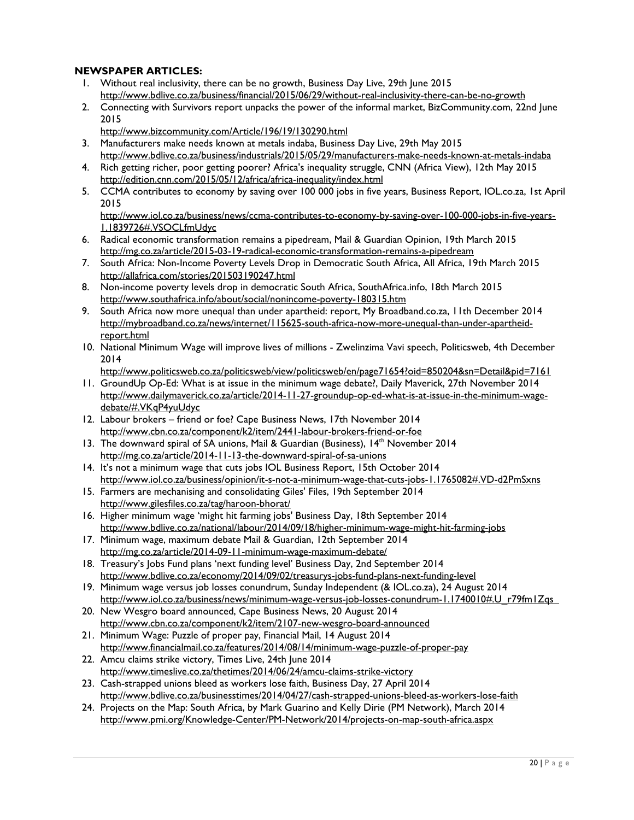# **NEWSPAPER ARTICLES:**

- 1. Without real inclusivity, there can be no growth, Business Day Live, 29th June 2015 <http://www.bdlive.co.za/business/financial/2015/06/29/without-real-inclusivity-there-can-be-no-growth>
- 2. Connecting with Survivors report unpacks the power of the informal market, BizCommunity.com, 22nd June 2015

<http://www.bizcommunity.com/Article/196/19/130290.html>

- 3. Manufacturers make needs known at metals indaba, Business Day Live, 29th May 2015 <http://www.bdlive.co.za/business/industrials/2015/05/29/manufacturers-make-needs-known-at-metals-indaba>
- 4. Rich getting richer, poor getting poorer? Africa's inequality struggle, CNN (Africa View), 12th May 2015 <http://edition.cnn.com/2015/05/12/africa/africa-inequality/index.html>
- 5. CCMA contributes to economy by saving over 100 000 jobs in five years, Business Report, IOL.co.za, 1st April 2015

[http://www.iol.co.za/business/news/ccma-contributes-to-economy-by-saving-over-100-000-jobs-in-five-years-](http://www.iol.co.za/business/news/ccma-contributes-to-economy-by-saving-over-100-000-jobs-in-five-years-1.1839726%23.VSOCLfmUdyc)[1.1839726#.VSOCLfmUdyc](http://www.iol.co.za/business/news/ccma-contributes-to-economy-by-saving-over-100-000-jobs-in-five-years-1.1839726%23.VSOCLfmUdyc)

- 6. Radical economic transformation remains a pipedream, Mail & Guardian Opinion, 19th March 2015 <http://mg.co.za/article/2015-03-19-radical-economic-transformation-remains-a-pipedream>
- 7. South Africa: Non-Income Poverty Levels Drop in Democratic South Africa, All Africa, 19th March 2015 <http://allafrica.com/stories/201503190247.html>
- 8. Non-income poverty levels drop in democratic South Africa, SouthAfrica.info, 18th March 2015 <http://www.southafrica.info/about/social/nonincome-poverty-180315.htm>
- 9. South Africa now more unequal than under apartheid: report, My Broadband.co.za, 11th December 2014 [http://mybroadband.co.za/news/internet/115625-south-africa-now-more-unequal-than-under-apartheid](http://mybroadband.co.za/news/internet/115625-south-africa-now-more-unequal-than-under-apartheid-report.html)[report.html](http://mybroadband.co.za/news/internet/115625-south-africa-now-more-unequal-than-under-apartheid-report.html)
- 10. National Minimum Wage will improve lives of millions Zwelinzima Vavi speech, Politicsweb, 4th December 2014

<http://www.politicsweb.co.za/politicsweb/view/politicsweb/en/page71654?oid=850204&sn=Detail&pid=7161>

- 11. GroundUp Op-Ed: What is at issue in the minimum wage debate?, Daily Maverick, 27th November 2014 [http://www.dailymaverick.co.za/article/2014-11-27-groundup-op-ed-what-is-at-issue-in-the-minimum-wage](http://www.dailymaverick.co.za/article/2014-11-27-groundup-op-ed-what-is-at-issue-in-the-minimum-wage-debate/%23.VKqP4yuUdyc)[debate/#.VKqP4yuUdyc](http://www.dailymaverick.co.za/article/2014-11-27-groundup-op-ed-what-is-at-issue-in-the-minimum-wage-debate/%23.VKqP4yuUdyc)
- 12. Labour brokers friend or foe? Cape Business News, 17th November 2014 <http://www.cbn.co.za/component/k2/item/2441-labour-brokers-friend-or-foe>
- 13. The downward spiral of SA unions, Mail & Guardian (Business), 14<sup>th</sup> November 2014 <http://mg.co.za/article/2014-11-13-the-downward-spiral-of-sa-unions>
- 14. [It's not a minimum wage that cuts jobs](http://www.iol.co.za/business/opinion/it-s-not-a-minimum-wage-that-cuts-jobs-1.1765082%23.VD-d2PmSxns) IOL Business Report, 15th October 2014 [http://www.iol.co.za/business/opinion/it-s-not-a-minimum-wage-that-cuts-jobs-1.1765082#.VD-d2PmSxns](http://www.iol.co.za/business/opinion/it-s-not-a-minimum-wage-that-cuts-jobs-1.1765082%23.VD-d2PmSxns)
- 15. [Farmers are mechanising and consolidating](http://www.gilesfiles.co.za/tag/haroon-bhorat/) Giles' Files, 19th September 2014 <http://www.gilesfiles.co.za/tag/haroon-bhorat/>
- 16. [Higher minimum wage 'might hit farming jobs'](http://www.bdlive.co.za/national/labour/2014/09/18/higher-minimum-wage-might-hit-farming-jobs) Business Day, 18th September 2014 <http://www.bdlive.co.za/national/labour/2014/09/18/higher-minimum-wage-might-hit-farming-jobs>
- 17. [Minimum wage, maximum debate](http://mg.co.za/article/2014-09-11-minimum-wage-maximum-debate/) Mail & Guardian, 12th September 2014 <http://mg.co.za/article/2014-09-11-minimum-wage-maximum-debate/>
- 18. [Treasury's Jobs Fund plans 'next funding level'](http://www.bdlive.co.za/economy/2014/09/02/treasurys-jobs-fund-plans-next-funding-level) Business Day, 2nd September 2014 <http://www.bdlive.co.za/economy/2014/09/02/treasurys-jobs-fund-plans-next-funding-level>
- 19. Minimum wage versus job losses conundrum, Sunday Independent (& IOL.co.za), 24 August 2014 http://www.iol.co.za/business/news/minimum-wage-versus-job-losses-conundrum-1.1740010#.U\_r79fm1Zqs
- 20. New Wesgro board announced, Cape Business News, 20 August 2014 <http://www.cbn.co.za/component/k2/item/2107-new-wesgro-board-announced>
- 21. Minimum Wage: Puzzle of proper pay, Financial Mail, 14 August 2014 <http://www.financialmail.co.za/features/2014/08/14/minimum-wage-puzzle-of-proper-pay>
- 22. Amcu claims strike victory, Times Live, 24th June 2014 <http://www.timeslive.co.za/thetimes/2014/06/24/amcu-claims-strike-victory>
- 23. Cash-strapped unions bleed as workers lose faith, Business Day, 27 April 2014 <http://www.bdlive.co.za/businesstimes/2014/04/27/cash-strapped-unions-bleed-as-workers-lose-faith>
- 24. Projects on the Map: South Africa, by Mark Guarino and Kelly Dirie (PM Network), March 2014 <http://www.pmi.org/Knowledge-Center/PM-Network/2014/projects-on-map-south-africa.aspx>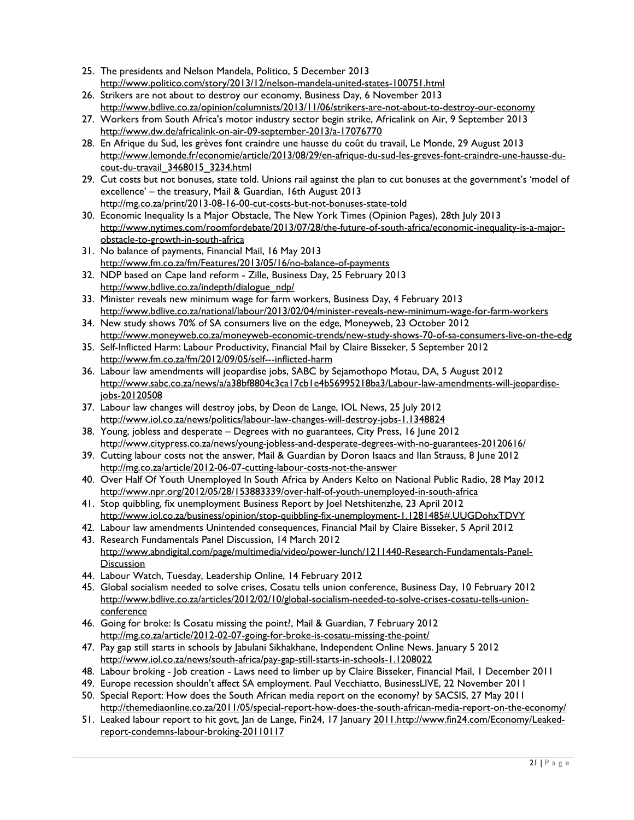- 25. The presidents and Nelson Mandela, Politico, 5 December 2013 <http://www.politico.com/story/2013/12/nelson-mandela-united-states-100751.html>
- 26. [Strikers are not about to destroy our economy,](http://www.bdlive.co.za/opinion/columnists/2013/11/06/strikers-are-not-about-to-destroy-our-economy) Business Day, 6 November 2013 <http://www.bdlive.co.za/opinion/columnists/2013/11/06/strikers-are-not-about-to-destroy-our-economy>
- 27. [Workers from South Africa's motor industry sector begin strike,](http://www.dw.de/africalink-on-air-09-september-2013/a-17076770) Africalink on Air, 9 September 2013 <http://www.dw.de/africalink-on-air-09-september-2013/a-17076770>
- 28. En Afrique du Sud, les grèves font craindre une hausse du coût du travail, Le Monde, 29 August 2013 [http://www.lemonde.fr/economie/article/2013/08/29/en-afrique-du-sud-les-greves-font-craindre-une-hausse-du](http://www.lemonde.fr/economie/article/2013/08/29/en-afrique-du-sud-les-greves-font-craindre-une-hausse-du-cout-du-travail_3468015_3234.html)[cout-du-travail\\_3468015\\_3234.html](http://www.lemonde.fr/economie/article/2013/08/29/en-afrique-du-sud-les-greves-font-craindre-une-hausse-du-cout-du-travail_3468015_3234.html)
- 29. Cut costs but not bonuses, state told. Unions rail against the plan to cut bonuses at the government's 'model of excellence' – the treasury, Mail & Guardian, 16th August 2013 <http://mg.co.za/print/2013-08-16-00-cut-costs-but-not-bonuses-state-told>
- 30. [Economic Inequality Is a Major Obstacle,](http://www.nytimes.com/roomfordebate/2013/07/28/the-future-of-south-africa/economic-inequality-is-a-major-obstacle-to-growth-in-south-africa) The New York Times (Opinion Pages), 28th July 2013 [http://www.nytimes.com/roomfordebate/2013/07/28/the-future-of-south-africa/economic-inequality-is-a-major](http://www.nytimes.com/roomfordebate/2013/07/28/the-future-of-south-africa/economic-inequality-is-a-major-obstacle-to-growth-in-south-africa)[obstacle-to-growth-in-south-africa](http://www.nytimes.com/roomfordebate/2013/07/28/the-future-of-south-africa/economic-inequality-is-a-major-obstacle-to-growth-in-south-africa)
- 31. No balance of payments, Financial Mail, 16 May 2013 <http://www.fm.co.za/fm/Features/2013/05/16/no-balance-of-payments>
- 32. NDP based on Cape land reform Zille, Business Day, 25 February 2013 [http://www.bdlive.co.za/indepth/dialogue\\_ndp/](http://www.bdlive.co.za/indepth/dialogue_ndp/)
- 33. Minister reveals new minimum wage for farm workers, Business Day, 4 February 2013 <http://www.bdlive.co.za/national/labour/2013/02/04/minister-reveals-new-minimum-wage-for-farm-workers>
- 34. New study shows 70% of SA consumers live on the edge, Moneyweb, 23 October 2012 <http://www.moneyweb.co.za/moneyweb-economic-trends/new-study-shows-70-of-sa-consumers-live-on-the-edg>
- 35. Self-Inflicted Harm: Labour Productivity, Financial Mail by Claire Bisseker, 5 September 2012 <http://www.fm.co.za/fm/2012/09/05/self---inflicted-harm>
- 36. Labour law amendments will jeopardise jobs, SABC by Sejamothopo Motau, DA, 5 August 2012 [http://www.sabc.co.za/news/a/a38bf8804c3ca17cb1e4b56995218ba3/Labour-law-amendments-will-jeopardise](http://www.sabc.co.za/news/a/a38bf8804c3ca17cb1e4b56995218ba3/Labour-law-amendments-will-jeopardise-jobs-20120508)[jobs-20120508](http://www.sabc.co.za/news/a/a38bf8804c3ca17cb1e4b56995218ba3/Labour-law-amendments-will-jeopardise-jobs-20120508)
- 37. Labour law changes will destroy jobs, by Deon de Lange, IOL News, 25 July 2012 <http://www.iol.co.za/news/politics/labour-law-changes-will-destroy-jobs-1.1348824>
- 38. Young, jobless and desperate Degrees with no guarantees, City Press, 16 June 2012 <http://www.citypress.co.za/news/young-jobless-and-desperate-degrees-with-no-guarantees-20120616/>
- 39. Cutting labour costs not the answer, Mail & Guardian by Doron Isaacs and Ilan Strauss, 8 June 2012 <http://mg.co.za/article/2012-06-07-cutting-labour-costs-not-the-answer>
- 40. Over Half Of Youth Unemployed In South Africa by Anders Kelto on National Public Radio, 28 May 2012 <http://www.npr.org/2012/05/28/153883339/over-half-of-youth-unemployed-in-south-africa>
- 41. Stop quibbling, fix unemployment Business Report by Joel Netshitenzhe, 23 April 2012 [http://www.iol.co.za/business/opinion/stop-quibbling-fix-unemployment-1.1281485#.UUGDohxTDVY](http://www.iol.co.za/business/opinion/stop-quibbling-fix-unemployment-1.1281485%23.UUGDohxTDVY)
- 42. Labour law amendments Unintended consequences, Financial Mail by Claire Bisseker, 5 April 2012 43. Research Fundamentals Panel Discussion, 14 March 2012
- [http://www.abndigital.com/page/multimedia/video/power-lunch/1211440-Research-Fundamentals-Panel-](http://www.abndigital.com/page/multimedia/video/power-lunch/1211440-Research-Fundamentals-Panel-Discussion)[Discussion](http://www.abndigital.com/page/multimedia/video/power-lunch/1211440-Research-Fundamentals-Panel-Discussion)
- 44. Labour Watch, Tuesday, Leadership Online, 14 February 2012
- 45. Global socialism needed to solve crises, Cosatu tells union conference, Business Day, 10 February 2012 [http://www.bdlive.co.za/articles/2012/02/10/global-socialism-needed-to-solve-crises-cosatu-tells-union](http://www.bdlive.co.za/articles/2012/02/10/global-socialism-needed-to-solve-crises-cosatu-tells-union-conference)[conference](http://www.bdlive.co.za/articles/2012/02/10/global-socialism-needed-to-solve-crises-cosatu-tells-union-conference)
- 46. Going for broke: Is Cosatu missing the point?, Mail & Guardian, 7 February 2012 <http://mg.co.za/article/2012-02-07-going-for-broke-is-cosatu-missing-the-point/>
- 47. Pay gap still starts in schools by Jabulani Sikhakhane, Independent Online News. January 5 2012 <http://www.iol.co.za/news/south-africa/pay-gap-still-starts-in-schools-1.1208022>
- 48. Labour broking Job creation Laws need to limber up by Claire Bisseker, Financial Mail, 1 December 2011
- 49. Europe recession shouldn't affect SA employment. Paul Vecchiatto, BusinessLIVE, 22 November 2011
- 50. Special Report: How does the South African media report on the economy? by [SACSIS,](http://themediaonline.co.za/author/sacsis/) 27 May 2011 <http://themediaonline.co.za/2011/05/special-report-how-does-the-south-african-media-report-on-the-economy/>
- 51. Leaked labour report to hit govt, Jan de Lange, Fin24, 17 January 201[1.http://www.fin24.com/Economy/Leaked](http://www.fin24.com/Economy/Leaked-report-condemns-labour-broking-20110117)[report-condemns-labour-broking-20110117](http://www.fin24.com/Economy/Leaked-report-condemns-labour-broking-20110117)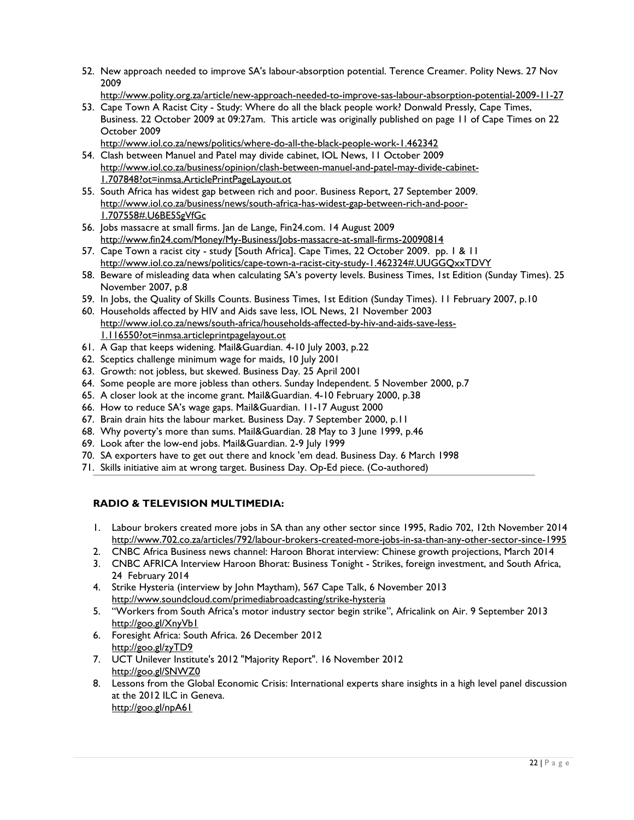52. New approach needed to improve SA's labour-absorption potential. Terence Creamer. Polity News. 27 Nov 2009

<http://www.polity.org.za/article/new-approach-needed-to-improve-sas-labour-absorption-potential-2009-11-27>

- 53. Cape Town A Racist City Study: Where do all the black people work? Donwald Pressly, Cape Times, Business. 22 October 2009 at 09:27am. This article was originally published on page 11 of Cape Times on 22 October 2009
	- <http://www.iol.co.za/news/politics/where-do-all-the-black-people-work-1.462342>
- 54. Clash between Manuel and Patel may divide cabinet, IOL News, 11 October 2009 [http://www.iol.co.za/business/opinion/clash-between-manuel-and-patel-may-divide-cabinet-](http://www.iol.co.za/business/opinion/clash-between-manuel-and-patel-may-divide-cabinet-1.707848?ot=inmsa.ArticlePrintPageLayout.ot)[1.707848?ot=inmsa.ArticlePrintPageLayout.ot](http://www.iol.co.za/business/opinion/clash-between-manuel-and-patel-may-divide-cabinet-1.707848?ot=inmsa.ArticlePrintPageLayout.ot)
- 55. South Africa has widest gap between rich and poor. Business Report, 27 September 2009. [http://www.iol.co.za/business/news/south-africa-has-widest-gap-between-rich-and-poor-](http://www.iol.co.za/business/news/south-africa-has-widest-gap-between-rich-and-poor-1.707558%23.U6BE5SgVfGc)[1.707558#.U6BE5SgVfGc](http://www.iol.co.za/business/news/south-africa-has-widest-gap-between-rich-and-poor-1.707558%23.U6BE5SgVfGc)
- 56. Jobs massacre at small firms. Jan de Lange, Fin24.com. 14 August 2009 <http://www.fin24.com/Money/My-Business/Jobs-massacre-at-small-firms-20090814>
- 57. Cape Town a racist city study [South Africa]. Cape Times, 22 October 2009. pp. 1 & 11 [http://www.iol.co.za/news/politics/cape-town-a-racist-city-study-1.462324#.UUGGQxxTDVY](http://www.iol.co.za/news/politics/cape-town-a-racist-city-study-1.462324%23.UUGGQxxTDVY)
- 58. Beware of misleading data when calculating SA's poverty levels. Business Times, 1st Edition (Sunday Times). 25 November 2007, p.8
- 59. In Jobs, the Quality of Skills Counts. Business Times, 1st Edition (Sunday Times). 11 February 2007, p.10
- 60. Households affected by HIV and Aids save less, IOL News, 21 November 2003 [http://www.iol.co.za/news/south-africa/households-affected-by-hiv-and-aids-save-less-](http://www.iol.co.za/news/south-africa/households-affected-by-hiv-and-aids-save-less-1.116550?ot=inmsa.articleprintpagelayout.ot)[1.116550?ot=inmsa.articleprintpagelayout.ot](http://www.iol.co.za/news/south-africa/households-affected-by-hiv-and-aids-save-less-1.116550?ot=inmsa.articleprintpagelayout.ot)
- 61. A Gap that keeps widening. Mail&Guardian. 4-10 July 2003, p.22
- 62. [Sceptics challenge minimum wage for maids,](http://www.iol.co.za/news/south-africa/sceptics-challenge-minimum-wage-for-maids-1.69779?ot=inmsa.ArticlePrintPageLayout.ot) 10 July 2001
- 63. Growth: not jobless, but skewed. Business Day. 25 April 2001
- 64. Some people are more jobless than others. Sunday Independent. 5 November 2000, p.7
- 65. A closer look at the income grant. Mail&Guardian. 4-10 February 2000, p.38
- 66. How to reduce SA's wage gaps. Mail&Guardian. 11-17 August 2000
- 67. Brain drain hits the labour market. Business Day. 7 September 2000, p.11
- 68. Why poverty's more than sums. Mail&Guardian. 28 May to 3 June 1999, p.46
- 69. Look after the low-end jobs. Mail&Guardian. 2-9 July 1999
- 70. SA exporters have to get out there and knock 'em dead. Business Day. 6 March 1998
- 71. Skills initiative aim at wrong target. Business Day. Op-Ed piece. (Co-authored)

# **RADIO & TELEVISION MULTIMEDIA:**

- 1. Labour brokers created more jobs in SA than any other sector since 1995, Radio 702, 12th November 2014 http://www.702.co.za/articles/792/labour-brokers-created-more-jobs-in-sa-than-any-other-sector-since-1995
- 2. CNBC Africa Business news channel: Haroon Bhorat interview: Chinese growth projections, March 2014
- 3. CNBC AFRICA Interview Haroon Bhorat: Business Tonight Strikes, foreign investment, and South Africa, 24 February 2014
- 4. [Strike Hysteria](http://www.soundcloud.com/primediabroadcasting/strike-hysteria) (interview by John Maytham), 567 Cape Talk, 6 November 2013 <http://www.soundcloud.com/primediabroadcasting/strike-hysteria>
- 5. ["Workers from South Africa's motor industry sector begin strike"](http://www.dw.de/africalink-on-air-09-september-2013/a-17076770), Africalink on Air. 9 September 2013 http://goo.gl/XnyVb1
- 6. Foresight Africa: South Africa. 26 December 2012 <http://goo.gl/zyTD9>
- 7. UCT Unilever Institute's 2012 "Majority Report". 16 November 2012 <http://goo.gl/SNWZ0>
- 8. Lessons from the Global Economic Crisis: International experts share insights in a high level panel discussion at the 2012 ILC in Geneva. <http://goo.gl/npA61>